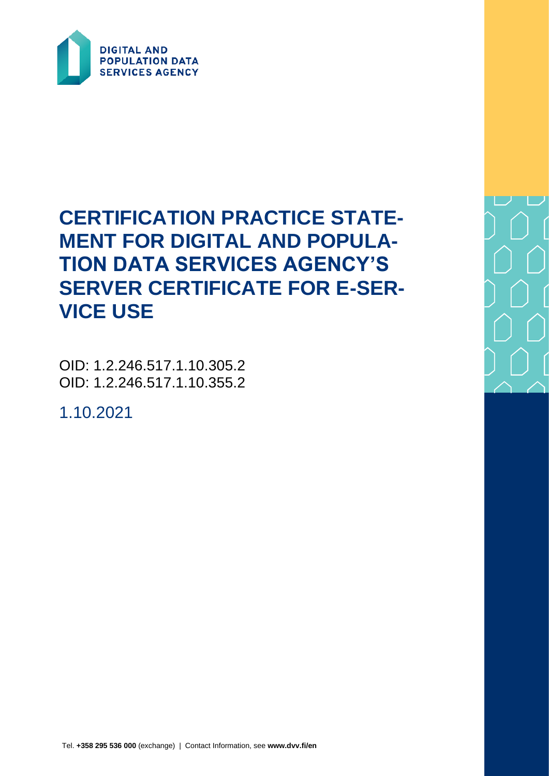

# **CERTIFICATION PRACTICE STATE-MENT FOR DIGITAL AND POPULA-TION DATA SERVICES AGENCY'S SERVER CERTIFICATE FOR E-SER-VICE USE**

OID: 1.2.246.517.1.10.305.2 OID: 1.2.246.517.1.10.355.2

1.10.2021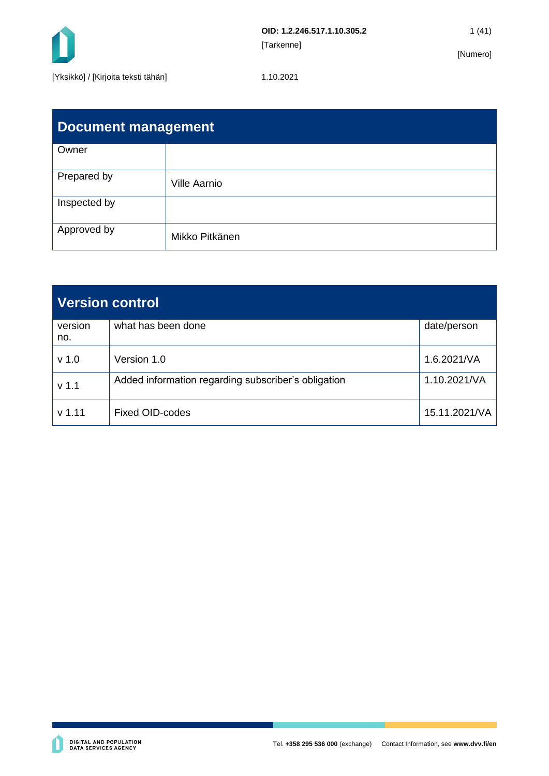

| Document management |                     |  |  |  |  |
|---------------------|---------------------|--|--|--|--|
| Owner               |                     |  |  |  |  |
| Prepared by         | <b>Ville Aarnio</b> |  |  |  |  |
| Inspected by        |                     |  |  |  |  |
| Approved by         | Mikko Pitkänen      |  |  |  |  |

| <b>Version control</b> |                                                     |               |  |  |  |
|------------------------|-----------------------------------------------------|---------------|--|--|--|
| version<br>no.         | what has been done                                  | date/person   |  |  |  |
| v <sub>1.0</sub>       | Version 1.0                                         | 1.6.2021/VA   |  |  |  |
| v <sub>1.1</sub>       | Added information regarding subscriber's obligation | 1.10.2021/VA  |  |  |  |
| $v$ 1.11               | <b>Fixed OID-codes</b>                              | 15.11.2021/VA |  |  |  |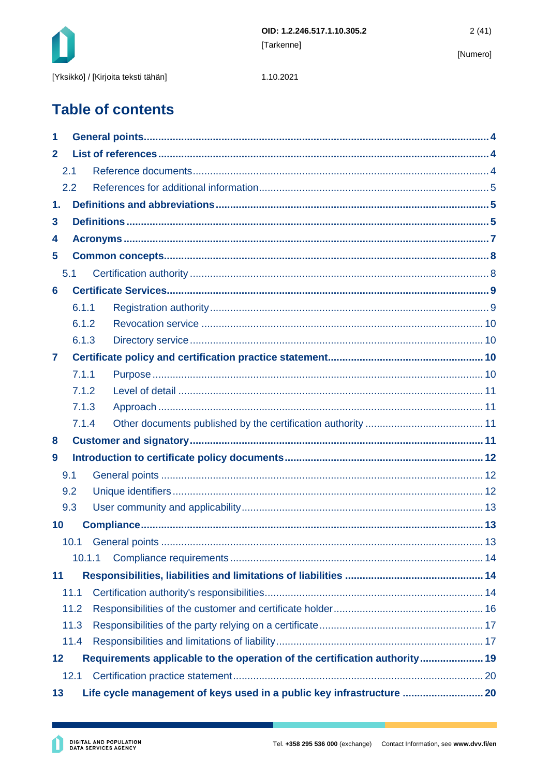

1.10.2021

# **Table of contents**

| 1            |                                                                            |  |                                                                       |  |  |  |
|--------------|----------------------------------------------------------------------------|--|-----------------------------------------------------------------------|--|--|--|
| $\mathbf{2}$ |                                                                            |  |                                                                       |  |  |  |
|              | 2.1                                                                        |  |                                                                       |  |  |  |
|              | 2.2                                                                        |  |                                                                       |  |  |  |
| 1.           |                                                                            |  |                                                                       |  |  |  |
| 3            |                                                                            |  |                                                                       |  |  |  |
| 4            |                                                                            |  |                                                                       |  |  |  |
| 5            |                                                                            |  |                                                                       |  |  |  |
|              | 5.1                                                                        |  |                                                                       |  |  |  |
| 6            |                                                                            |  |                                                                       |  |  |  |
|              | 6.1.1                                                                      |  |                                                                       |  |  |  |
|              | 6.1.2                                                                      |  |                                                                       |  |  |  |
|              | 6.1.3                                                                      |  |                                                                       |  |  |  |
| 7            |                                                                            |  |                                                                       |  |  |  |
|              | 7.1.1                                                                      |  |                                                                       |  |  |  |
|              | 7.1.2                                                                      |  |                                                                       |  |  |  |
|              | 7.1.3                                                                      |  |                                                                       |  |  |  |
|              | 7.1.4                                                                      |  |                                                                       |  |  |  |
| 8            |                                                                            |  |                                                                       |  |  |  |
| 9            |                                                                            |  |                                                                       |  |  |  |
|              | 9.1                                                                        |  |                                                                       |  |  |  |
|              | 9.2                                                                        |  |                                                                       |  |  |  |
|              | 9.3                                                                        |  |                                                                       |  |  |  |
| 10           |                                                                            |  |                                                                       |  |  |  |
|              |                                                                            |  |                                                                       |  |  |  |
|              | 10.1.1                                                                     |  |                                                                       |  |  |  |
| 11           |                                                                            |  |                                                                       |  |  |  |
|              | 11.1                                                                       |  |                                                                       |  |  |  |
|              | 11.2                                                                       |  |                                                                       |  |  |  |
|              | 11.3                                                                       |  |                                                                       |  |  |  |
|              | 11.4                                                                       |  |                                                                       |  |  |  |
| 12           | Requirements applicable to the operation of the certification authority 19 |  |                                                                       |  |  |  |
|              | 12.1                                                                       |  |                                                                       |  |  |  |
| 13           |                                                                            |  | Life cycle management of keys used in a public key infrastructure  20 |  |  |  |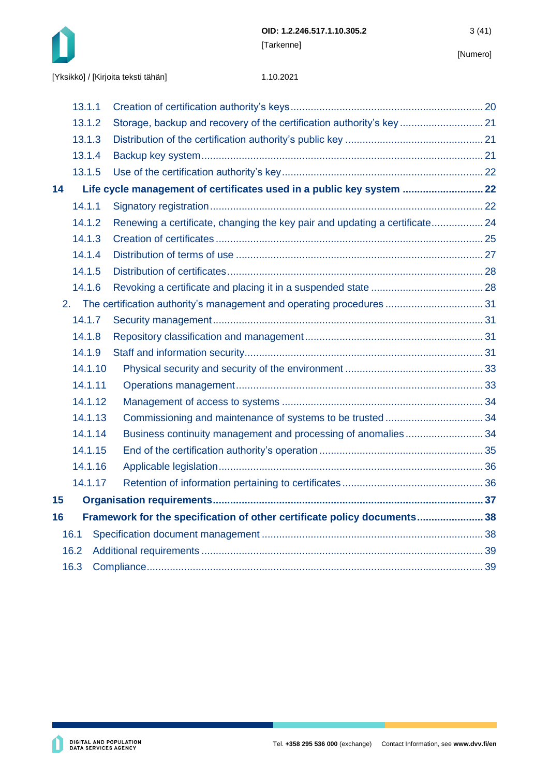

|    | 13.1.1  |                                                                            |  |
|----|---------|----------------------------------------------------------------------------|--|
|    | 13.1.2  | Storage, backup and recovery of the certification authority's key 21       |  |
|    | 13.1.3  |                                                                            |  |
|    | 13.1.4  |                                                                            |  |
|    | 13.1.5  |                                                                            |  |
| 14 |         | Life cycle management of certificates used in a public key system  22      |  |
|    | 14.1.1  |                                                                            |  |
|    | 14.1.2  | Renewing a certificate, changing the key pair and updating a certificate24 |  |
|    | 14.1.3  |                                                                            |  |
|    | 14.1.4  |                                                                            |  |
|    | 14.1.5  |                                                                            |  |
|    | 14.1.6  |                                                                            |  |
| 2. |         | The certification authority's management and operating procedures  31      |  |
|    | 14.1.7  |                                                                            |  |
|    | 14.1.8  |                                                                            |  |
|    | 14.1.9  |                                                                            |  |
|    | 14.1.10 |                                                                            |  |
|    | 14.1.11 |                                                                            |  |
|    | 14.1.12 |                                                                            |  |
|    | 14.1.13 |                                                                            |  |
|    | 14.1.14 | Business continuity management and processing of anomalies34               |  |
|    | 14.1.15 |                                                                            |  |
|    | 14.1.16 |                                                                            |  |
|    | 14.1.17 |                                                                            |  |
| 15 |         |                                                                            |  |
| 16 |         | Framework for the specification of other certificate policy documents 38   |  |
|    | 16.1    |                                                                            |  |
|    | 16.2    |                                                                            |  |
|    | 16.3    |                                                                            |  |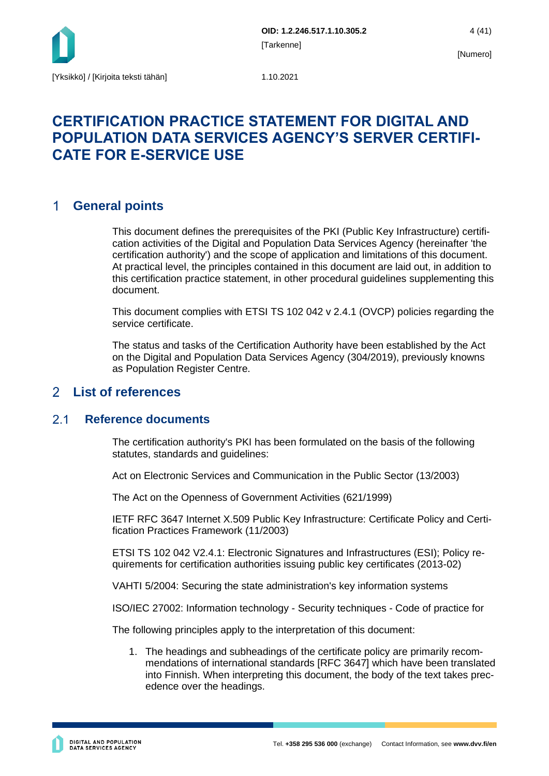

## **CERTIFICATION PRACTICE STATEMENT FOR DIGITAL AND POPULATION DATA SERVICES AGENCY'S SERVER CERTIFI-CATE FOR E-SERVICE USE**

#### <span id="page-4-0"></span>**General points**   $\mathbf 1$

This document defines the prerequisites of the PKI (Public Key Infrastructure) certification activities of the Digital and Population Data Services Agency (hereinafter 'the certification authority') and the scope of application and limitations of this document. At practical level, the principles contained in this document are laid out, in addition to this certification practice statement, in other procedural guidelines supplementing this document.

This document complies with ETSI TS 102 042 v 2.4.1 (OVCP) policies regarding the service certificate.

The status and tasks of the Certification Authority have been established by the Act on the Digital and Population Data Services Agency (304/2019), previously knowns as Population Register Centre.

#### <span id="page-4-1"></span> $\mathcal{P}$ **List of references**

#### <span id="page-4-2"></span> $21$ **Reference documents**

The certification authority's PKI has been formulated on the basis of the following statutes, standards and guidelines:

Act on Electronic Services and Communication in the Public Sector (13/2003)

The Act on the Openness of Government Activities (621/1999)

IETF RFC 3647 Internet X.509 Public Key Infrastructure: Certificate Policy and Certification Practices Framework (11/2003)

ETSI TS 102 042 V2.4.1: Electronic Signatures and Infrastructures (ESI); Policy requirements for certification authorities issuing public key certificates (2013-02)

VAHTI 5/2004: Securing the state administration's key information systems

ISO/IEC 27002: Information technology - Security techniques - Code of practice for

The following principles apply to the interpretation of this document:

1. The headings and subheadings of the certificate policy are primarily recommendations of international standards [RFC 3647] which have been translated into Finnish. When interpreting this document, the body of the text takes precedence over the headings.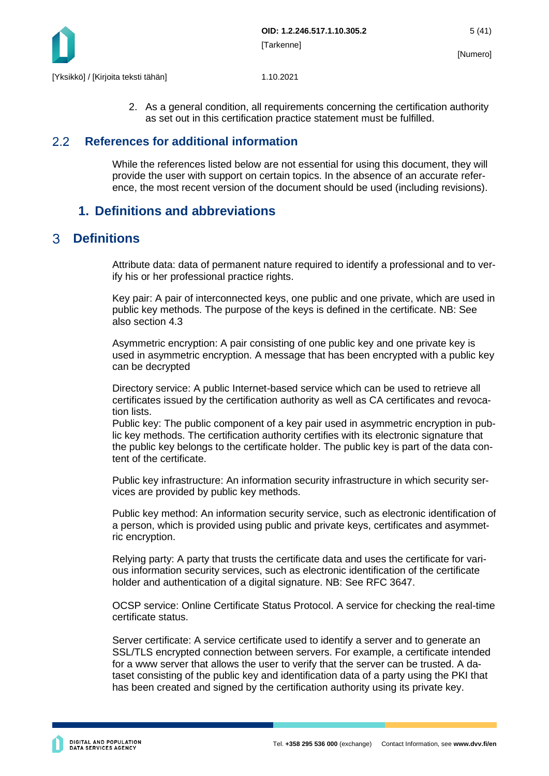

2. As a general condition, all requirements concerning the certification authority as set out in this certification practice statement must be fulfilled.

#### <span id="page-5-0"></span> $2.2$ **References for additional information**

While the references listed below are not essential for using this document, they will provide the user with support on certain topics. In the absence of an accurate reference, the most recent version of the document should be used (including revisions).

## <span id="page-5-1"></span>**1. Definitions and abbreviations**

#### <span id="page-5-2"></span>**Definitions**   $\mathcal{R}$

Attribute data: data of permanent nature required to identify a professional and to verify his or her professional practice rights.

Key pair: A pair of interconnected keys, one public and one private, which are used in public key methods. The purpose of the keys is defined in the certificate. NB: See also section 4.3

Asymmetric encryption: A pair consisting of one public key and one private key is used in asymmetric encryption. A message that has been encrypted with a public key can be decrypted

Directory service: A public Internet-based service which can be used to retrieve all certificates issued by the certification authority as well as CA certificates and revocation lists.

Public key: The public component of a key pair used in asymmetric encryption in public key methods. The certification authority certifies with its electronic signature that the public key belongs to the certificate holder. The public key is part of the data content of the certificate.

Public key infrastructure: An information security infrastructure in which security services are provided by public key methods.

Public key method: An information security service, such as electronic identification of a person, which is provided using public and private keys, certificates and asymmetric encryption.

Relying party: A party that trusts the certificate data and uses the certificate for various information security services, such as electronic identification of the certificate holder and authentication of a digital signature. NB: See RFC 3647.

OCSP service: Online Certificate Status Protocol. A service for checking the real-time certificate status.

Server certificate: A service certificate used to identify a server and to generate an SSL/TLS encrypted connection between servers. For example, a certificate intended for a www server that allows the user to verify that the server can be trusted. A dataset consisting of the public key and identification data of a party using the PKI that has been created and signed by the certification authority using its private key.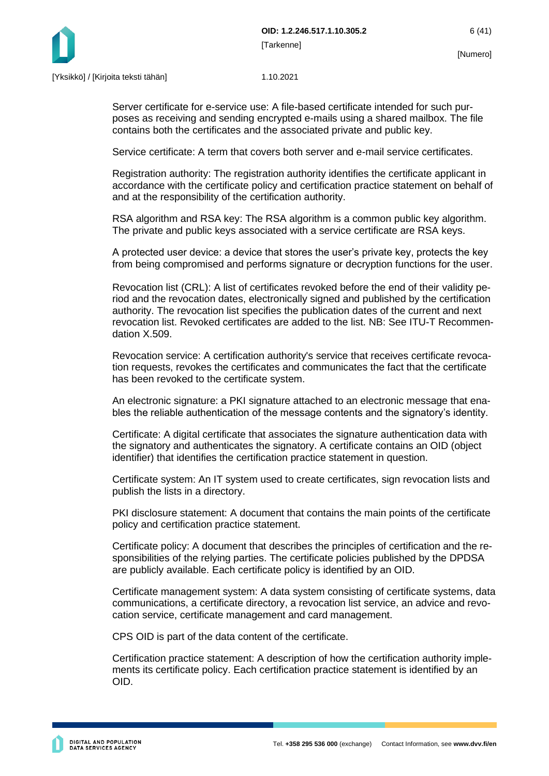

Server certificate for e-service use: A file-based certificate intended for such purposes as receiving and sending encrypted e-mails using a shared mailbox. The file contains both the certificates and the associated private and public key.

Service certificate: A term that covers both server and e-mail service certificates.

Registration authority: The registration authority identifies the certificate applicant in accordance with the certificate policy and certification practice statement on behalf of and at the responsibility of the certification authority.

RSA algorithm and RSA key: The RSA algorithm is a common public key algorithm. The private and public keys associated with a service certificate are RSA keys.

A protected user device: a device that stores the user's private key, protects the key from being compromised and performs signature or decryption functions for the user.

Revocation list (CRL): A list of certificates revoked before the end of their validity period and the revocation dates, electronically signed and published by the certification authority. The revocation list specifies the publication dates of the current and next revocation list. Revoked certificates are added to the list. NB: See ITU-T Recommendation X.509.

Revocation service: A certification authority's service that receives certificate revocation requests, revokes the certificates and communicates the fact that the certificate has been revoked to the certificate system.

An electronic signature: a PKI signature attached to an electronic message that enables the reliable authentication of the message contents and the signatory's identity.

Certificate: A digital certificate that associates the signature authentication data with the signatory and authenticates the signatory. A certificate contains an OID (object identifier) that identifies the certification practice statement in question.

Certificate system: An IT system used to create certificates, sign revocation lists and publish the lists in a directory.

PKI disclosure statement: A document that contains the main points of the certificate policy and certification practice statement.

Certificate policy: A document that describes the principles of certification and the responsibilities of the relying parties. The certificate policies published by the DPDSA are publicly available. Each certificate policy is identified by an OID.

Certificate management system: A data system consisting of certificate systems, data communications, a certificate directory, a revocation list service, an advice and revocation service, certificate management and card management.

CPS OID is part of the data content of the certificate.

Certification practice statement: A description of how the certification authority implements its certificate policy. Each certification practice statement is identified by an OID.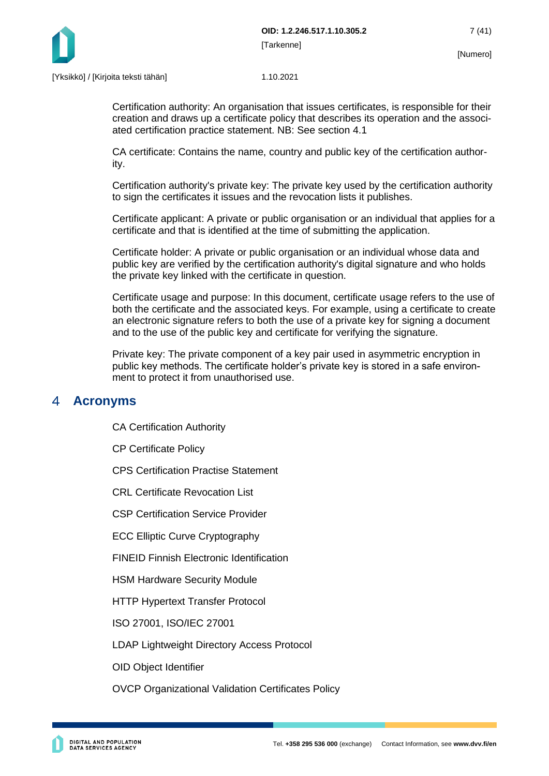

Certification authority: An organisation that issues certificates, is responsible for their creation and draws up a certificate policy that describes its operation and the associated certification practice statement. NB: See section 4.1

CA certificate: Contains the name, country and public key of the certification authority.

Certification authority's private key: The private key used by the certification authority to sign the certificates it issues and the revocation lists it publishes.

Certificate applicant: A private or public organisation or an individual that applies for a certificate and that is identified at the time of submitting the application.

Certificate holder: A private or public organisation or an individual whose data and public key are verified by the certification authority's digital signature and who holds the private key linked with the certificate in question.

Certificate usage and purpose: In this document, certificate usage refers to the use of both the certificate and the associated keys. For example, using a certificate to create an electronic signature refers to both the use of a private key for signing a document and to the use of the public key and certificate for verifying the signature.

Private key: The private component of a key pair used in asymmetric encryption in public key methods. The certificate holder's private key is stored in a safe environment to protect it from unauthorised use.

#### <span id="page-7-0"></span> $\blacktriangle$ **Acronyms**

CA Certification Authority

CP Certificate Policy

CPS Certification Practise Statement

CRL Certificate Revocation List

CSP Certification Service Provider

ECC Elliptic Curve Cryptography

FINEID Finnish Electronic Identification

HSM Hardware Security Module

HTTP Hypertext Transfer Protocol

ISO 27001, ISO/IEC 27001

LDAP Lightweight Directory Access Protocol

OID Object Identifier

OVCP Organizational Validation Certificates Policy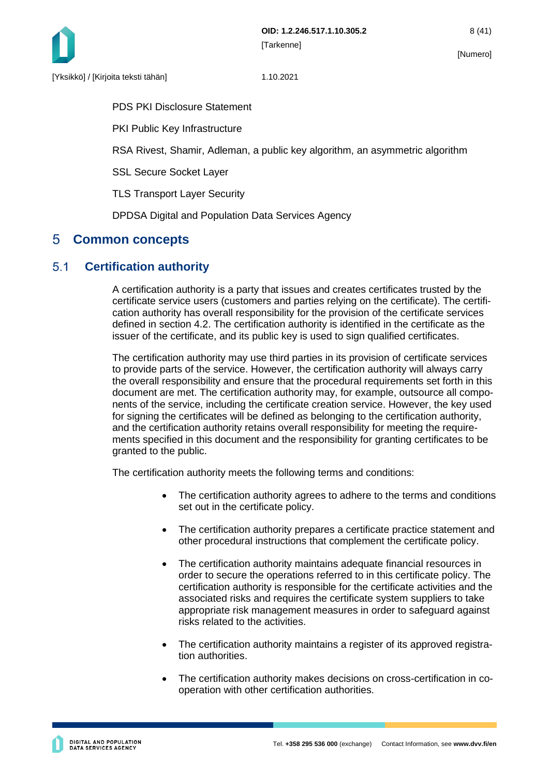

PDS PKI Disclosure Statement

PKI Public Key Infrastructure

RSA Rivest, Shamir, Adleman, a public key algorithm, an asymmetric algorithm

SSL Secure Socket Layer

TLS Transport Layer Security

DPDSA Digital and Population Data Services Agency

## <span id="page-8-0"></span>**Common concepts**

#### <span id="page-8-1"></span> $5.1$ **Certification authority**

A certification authority is a party that issues and creates certificates trusted by the certificate service users (customers and parties relying on the certificate). The certification authority has overall responsibility for the provision of the certificate services defined in section 4.2. The certification authority is identified in the certificate as the issuer of the certificate, and its public key is used to sign qualified certificates.

The certification authority may use third parties in its provision of certificate services to provide parts of the service. However, the certification authority will always carry the overall responsibility and ensure that the procedural requirements set forth in this document are met. The certification authority may, for example, outsource all components of the service, including the certificate creation service. However, the key used for signing the certificates will be defined as belonging to the certification authority, and the certification authority retains overall responsibility for meeting the requirements specified in this document and the responsibility for granting certificates to be granted to the public.

The certification authority meets the following terms and conditions:

- The certification authority agrees to adhere to the terms and conditions set out in the certificate policy.
- The certification authority prepares a certificate practice statement and other procedural instructions that complement the certificate policy.
- The certification authority maintains adequate financial resources in order to secure the operations referred to in this certificate policy. The certification authority is responsible for the certificate activities and the associated risks and requires the certificate system suppliers to take appropriate risk management measures in order to safeguard against risks related to the activities.
- The certification authority maintains a register of its approved registration authorities.
- The certification authority makes decisions on cross-certification in cooperation with other certification authorities.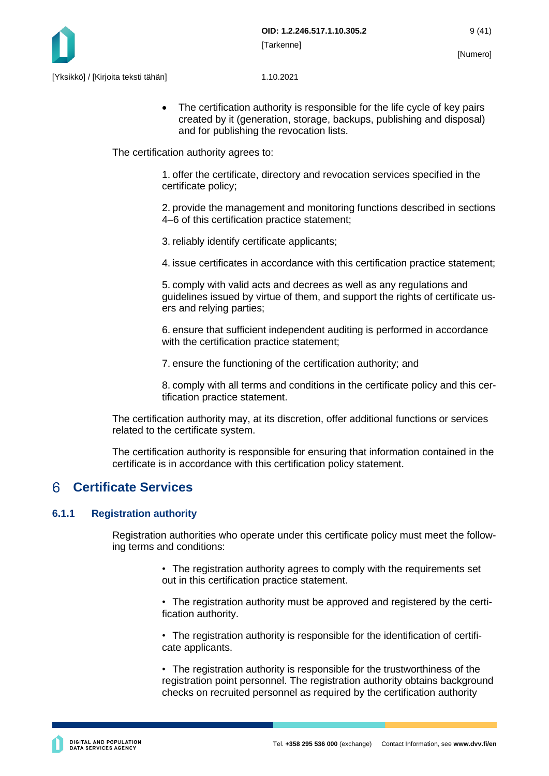

• The certification authority is responsible for the life cycle of key pairs created by it (generation, storage, backups, publishing and disposal) and for publishing the revocation lists.

The certification authority agrees to:

1. offer the certificate, directory and revocation services specified in the certificate policy;

2. provide the management and monitoring functions described in sections 4–6 of this certification practice statement;

3. reliably identify certificate applicants;

4. issue certificates in accordance with this certification practice statement;

5. comply with valid acts and decrees as well as any regulations and guidelines issued by virtue of them, and support the rights of certificate users and relying parties;

6. ensure that sufficient independent auditing is performed in accordance with the certification practice statement;

7. ensure the functioning of the certification authority; and

8. comply with all terms and conditions in the certificate policy and this certification practice statement.

The certification authority may, at its discretion, offer additional functions or services related to the certificate system.

The certification authority is responsible for ensuring that information contained in the certificate is in accordance with this certification policy statement.

#### <span id="page-9-0"></span>6 **Certificate Services**

#### <span id="page-9-1"></span>**6.1.1 Registration authority**

Registration authorities who operate under this certificate policy must meet the following terms and conditions:

> • The registration authority agrees to comply with the requirements set out in this certification practice statement.

• The registration authority must be approved and registered by the certification authority.

• The registration authority is responsible for the identification of certificate applicants.

• The registration authority is responsible for the trustworthiness of the registration point personnel. The registration authority obtains background checks on recruited personnel as required by the certification authority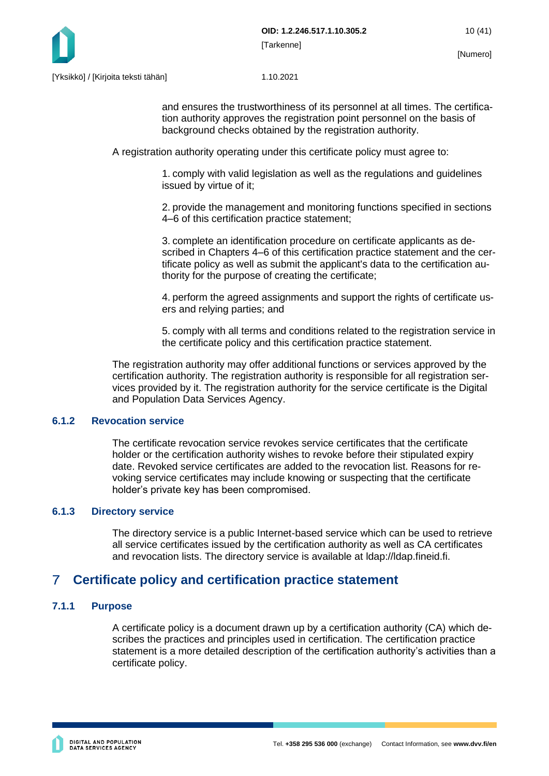

and ensures the trustworthiness of its personnel at all times. The certification authority approves the registration point personnel on the basis of background checks obtained by the registration authority.

A registration authority operating under this certificate policy must agree to:

1. comply with valid legislation as well as the regulations and guidelines issued by virtue of it;

2. provide the management and monitoring functions specified in sections 4–6 of this certification practice statement;

3. complete an identification procedure on certificate applicants as described in Chapters 4–6 of this certification practice statement and the certificate policy as well as submit the applicant's data to the certification authority for the purpose of creating the certificate;

4. perform the agreed assignments and support the rights of certificate users and relying parties; and

5. comply with all terms and conditions related to the registration service in the certificate policy and this certification practice statement.

The registration authority may offer additional functions or services approved by the certification authority. The registration authority is responsible for all registration services provided by it. The registration authority for the service certificate is the Digital and Population Data Services Agency.

#### <span id="page-10-0"></span>**6.1.2 Revocation service**

The certificate revocation service revokes service certificates that the certificate holder or the certification authority wishes to revoke before their stipulated expiry date. Revoked service certificates are added to the revocation list. Reasons for revoking service certificates may include knowing or suspecting that the certificate holder's private key has been compromised.

#### <span id="page-10-1"></span>**6.1.3 Directory service**

The directory service is a public Internet-based service which can be used to retrieve all service certificates issued by the certification authority as well as CA certificates and revocation lists. The directory service is available at ldap://ldap.fineid.fi.

#### <span id="page-10-2"></span> $\overline{7}$ **Certificate policy and certification practice statement**

#### <span id="page-10-3"></span>**7.1.1 Purpose**

A certificate policy is a document drawn up by a certification authority (CA) which describes the practices and principles used in certification. The certification practice statement is a more detailed description of the certification authority's activities than a certificate policy.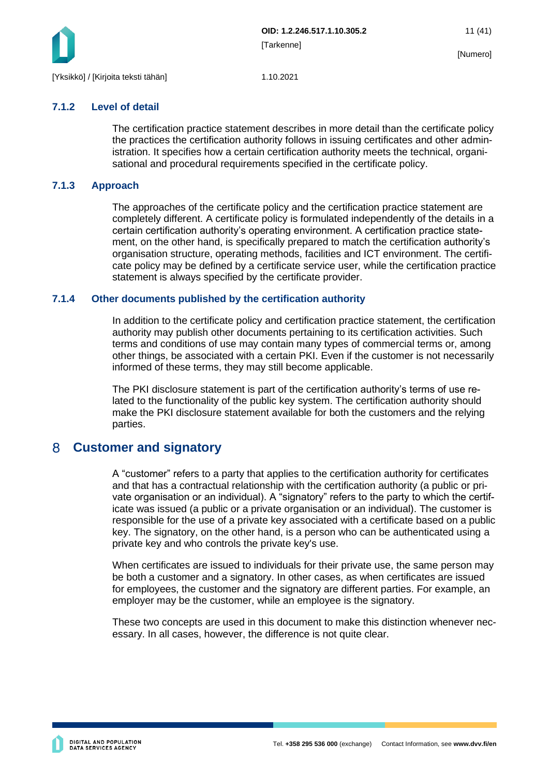

#### <span id="page-11-0"></span>**7.1.2 Level of detail**

The certification practice statement describes in more detail than the certificate policy the practices the certification authority follows in issuing certificates and other administration. It specifies how a certain certification authority meets the technical, organisational and procedural requirements specified in the certificate policy.

#### <span id="page-11-1"></span>**7.1.3 Approach**

The approaches of the certificate policy and the certification practice statement are completely different. A certificate policy is formulated independently of the details in a certain certification authority's operating environment. A certification practice statement, on the other hand, is specifically prepared to match the certification authority's organisation structure, operating methods, facilities and ICT environment. The certificate policy may be defined by a certificate service user, while the certification practice statement is always specified by the certificate provider.

#### <span id="page-11-2"></span>**7.1.4 Other documents published by the certification authority**

In addition to the certificate policy and certification practice statement, the certification authority may publish other documents pertaining to its certification activities. Such terms and conditions of use may contain many types of commercial terms or, among other things, be associated with a certain PKI. Even if the customer is not necessarily informed of these terms, they may still become applicable.

The PKI disclosure statement is part of the certification authority's terms of use related to the functionality of the public key system. The certification authority should make the PKI disclosure statement available for both the customers and the relying parties.

#### <span id="page-11-3"></span> $8<sup>°</sup>$ **Customer and signatory**

A "customer" refers to a party that applies to the certification authority for certificates and that has a contractual relationship with the certification authority (a public or private organisation or an individual). A "signatory" refers to the party to which the certificate was issued (a public or a private organisation or an individual). The customer is responsible for the use of a private key associated with a certificate based on a public key. The signatory, on the other hand, is a person who can be authenticated using a private key and who controls the private key's use.

When certificates are issued to individuals for their private use, the same person may be both a customer and a signatory. In other cases, as when certificates are issued for employees, the customer and the signatory are different parties. For example, an employer may be the customer, while an employee is the signatory.

These two concepts are used in this document to make this distinction whenever necessary. In all cases, however, the difference is not quite clear.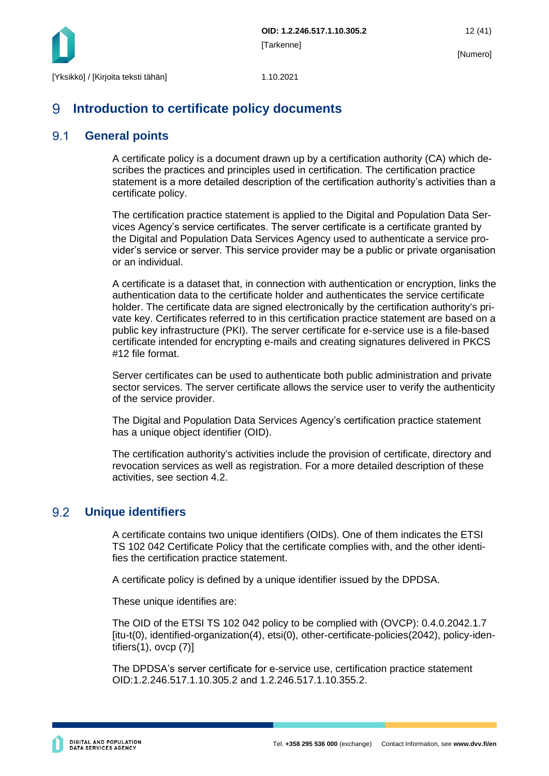

#### <span id="page-12-0"></span>9 **Introduction to certificate policy documents**

#### <span id="page-12-1"></span> $9.1$ **General points**

A certificate policy is a document drawn up by a certification authority (CA) which describes the practices and principles used in certification. The certification practice statement is a more detailed description of the certification authority's activities than a certificate policy.

The certification practice statement is applied to the Digital and Population Data Services Agency's service certificates. The server certificate is a certificate granted by the Digital and Population Data Services Agency used to authenticate a service provider's service or server. This service provider may be a public or private organisation or an individual.

A certificate is a dataset that, in connection with authentication or encryption, links the authentication data to the certificate holder and authenticates the service certificate holder. The certificate data are signed electronically by the certification authority's private key. Certificates referred to in this certification practice statement are based on a public key infrastructure (PKI). The server certificate for e-service use is a file-based certificate intended for encrypting e-mails and creating signatures delivered in PKCS #12 file format.

Server certificates can be used to authenticate both public administration and private sector services. The server certificate allows the service user to verify the authenticity of the service provider.

The Digital and Population Data Services Agency's certification practice statement has a unique object identifier (OID).

The certification authority's activities include the provision of certificate, directory and revocation services as well as registration. For a more detailed description of these activities, see section 4.2.

#### <span id="page-12-2"></span>9.2 **Unique identifiers**

A certificate contains two unique identifiers (OIDs). One of them indicates the ETSI TS 102 042 Certificate Policy that the certificate complies with, and the other identifies the certification practice statement.

A certificate policy is defined by a unique identifier issued by the DPDSA.

These unique identifies are:

The OID of the ETSI TS 102 042 policy to be complied with (OVCP): 0.4.0.2042.1.7 [itu-t(0), identified-organization(4), etsi(0), other-certificate-policies(2042), policy-identifiers(1), ovcp (7)]

The DPDSA's server certificate for e-service use, certification practice statement OID:1.2.246.517.1.10.305.2 and 1.2.246.517.1.10.355.2.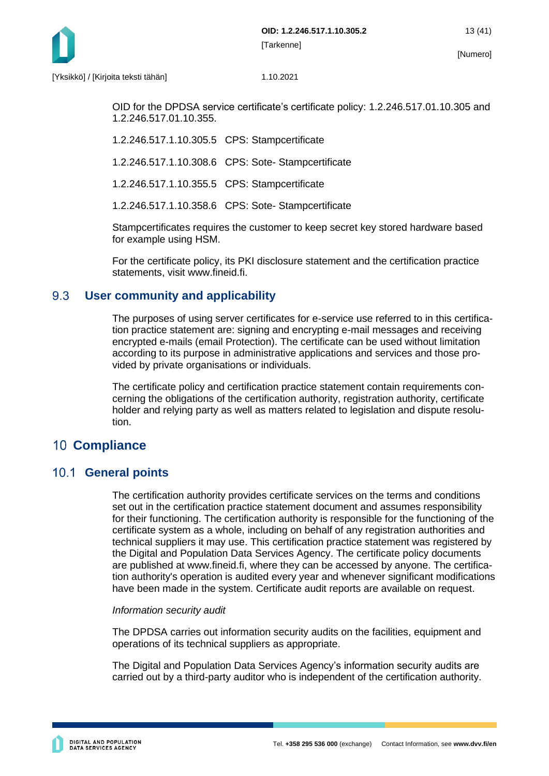

OID for the DPDSA service certificate's certificate policy: 1.2.246.517.01.10.305 and 1.2.246.517.01.10.355.

1.2.246.517.1.10.305.5 CPS: Stampcertificate

1.2.246.517.1.10.308.6 CPS: Sote- Stampcertificate

1.2.246.517.1.10.355.5 CPS: Stampcertificate

1.2.246.517.1.10.358.6 CPS: Sote- Stampcertificate

Stampcertificates requires the customer to keep secret key stored hardware based for example using HSM.

For the certificate policy, its PKI disclosure statement and the certification practice statements, visit www.fineid.fi.

#### <span id="page-13-0"></span>9.3 **User community and applicability**

The purposes of using server certificates for e-service use referred to in this certification practice statement are: signing and encrypting e-mail messages and receiving encrypted e-mails (email Protection). The certificate can be used without limitation according to its purpose in administrative applications and services and those provided by private organisations or individuals.

The certificate policy and certification practice statement contain requirements concerning the obligations of the certification authority, registration authority, certificate holder and relying party as well as matters related to legislation and dispute resolution.

## <span id="page-13-1"></span>**10 Compliance**

## <span id="page-13-2"></span>10.1 **General points**

The certification authority provides certificate services on the terms and conditions set out in the certification practice statement document and assumes responsibility for their functioning. The certification authority is responsible for the functioning of the certificate system as a whole, including on behalf of any registration authorities and technical suppliers it may use. This certification practice statement was registered by the Digital and Population Data Services Agency. The certificate policy documents are published at www.fineid.fi, where they can be accessed by anyone. The certification authority's operation is audited every year and whenever significant modifications have been made in the system. Certificate audit reports are available on request.

#### *Information security audit*

The DPDSA carries out information security audits on the facilities, equipment and operations of its technical suppliers as appropriate.

The Digital and Population Data Services Agency's information security audits are carried out by a third-party auditor who is independent of the certification authority.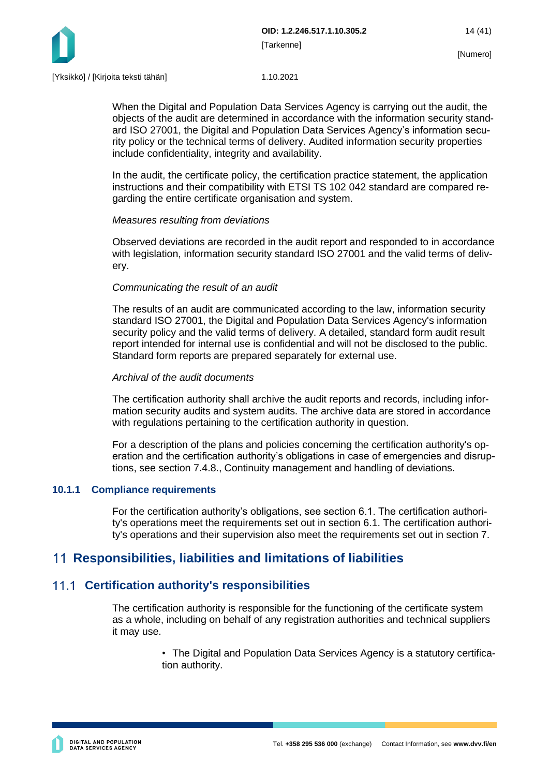

When the Digital and Population Data Services Agency is carrying out the audit, the objects of the audit are determined in accordance with the information security standard ISO 27001, the Digital and Population Data Services Agency's information security policy or the technical terms of delivery. Audited information security properties include confidentiality, integrity and availability.

In the audit, the certificate policy, the certification practice statement, the application instructions and their compatibility with ETSI TS 102 042 standard are compared regarding the entire certificate organisation and system.

#### *Measures resulting from deviations*

Observed deviations are recorded in the audit report and responded to in accordance with legislation, information security standard ISO 27001 and the valid terms of delivery.

#### *Communicating the result of an audit*

The results of an audit are communicated according to the law, information security standard ISO 27001, the Digital and Population Data Services Agency's information security policy and the valid terms of delivery. A detailed, standard form audit result report intended for internal use is confidential and will not be disclosed to the public. Standard form reports are prepared separately for external use.

#### *Archival of the audit documents*

The certification authority shall archive the audit reports and records, including information security audits and system audits. The archive data are stored in accordance with regulations pertaining to the certification authority in question.

For a description of the plans and policies concerning the certification authority's operation and the certification authority's obligations in case of emergencies and disruptions, see section 7.4.8., Continuity management and handling of deviations.

#### <span id="page-14-0"></span>**10.1.1 Compliance requirements**

For the certification authority's obligations, see section 6.1. The certification authority's operations meet the requirements set out in section 6.1. The certification authority's operations and their supervision also meet the requirements set out in section 7.

## <span id="page-14-1"></span>**Responsibilities, liabilities and limitations of liabilities**

### <span id="page-14-2"></span>**Certification authority's responsibilities**

The certification authority is responsible for the functioning of the certificate system as a whole, including on behalf of any registration authorities and technical suppliers it may use.

> • The Digital and Population Data Services Agency is a statutory certification authority.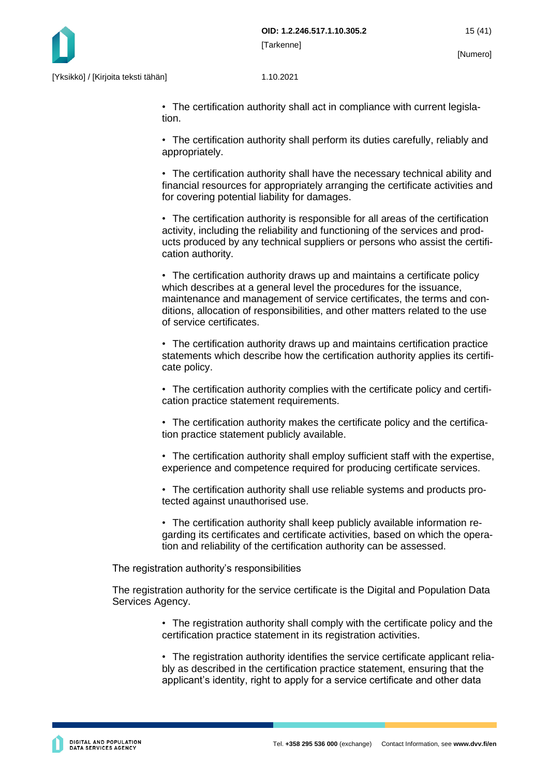

• The certification authority shall act in compliance with current legislation.

• The certification authority shall perform its duties carefully, reliably and appropriately.

• The certification authority shall have the necessary technical ability and financial resources for appropriately arranging the certificate activities and for covering potential liability for damages.

• The certification authority is responsible for all areas of the certification activity, including the reliability and functioning of the services and products produced by any technical suppliers or persons who assist the certification authority.

• The certification authority draws up and maintains a certificate policy which describes at a general level the procedures for the issuance, maintenance and management of service certificates, the terms and conditions, allocation of responsibilities, and other matters related to the use of service certificates.

• The certification authority draws up and maintains certification practice statements which describe how the certification authority applies its certificate policy.

• The certification authority complies with the certificate policy and certification practice statement requirements.

• The certification authority makes the certificate policy and the certification practice statement publicly available.

• The certification authority shall employ sufficient staff with the expertise, experience and competence required for producing certificate services.

• The certification authority shall use reliable systems and products protected against unauthorised use.

• The certification authority shall keep publicly available information regarding its certificates and certificate activities, based on which the operation and reliability of the certification authority can be assessed.

The registration authority's responsibilities

The registration authority for the service certificate is the Digital and Population Data Services Agency.

> • The registration authority shall comply with the certificate policy and the certification practice statement in its registration activities.

> • The registration authority identifies the service certificate applicant reliably as described in the certification practice statement, ensuring that the applicant's identity, right to apply for a service certificate and other data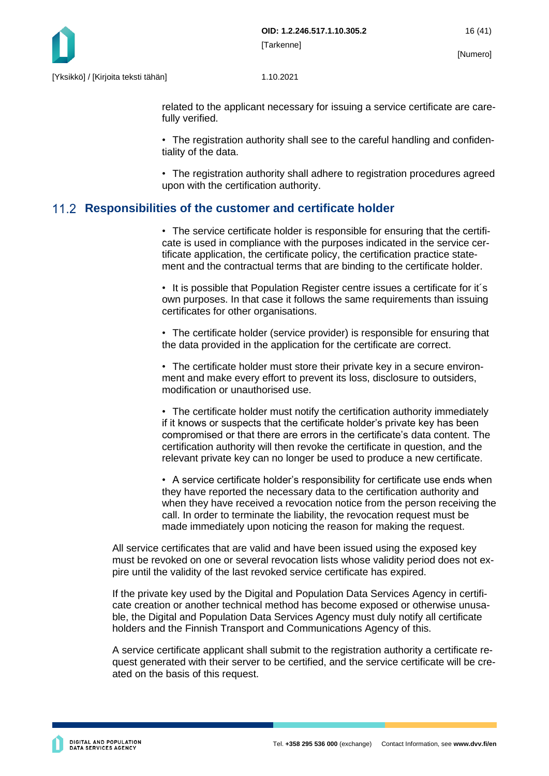

related to the applicant necessary for issuing a service certificate are carefully verified.

• The registration authority shall see to the careful handling and confidentiality of the data.

• The registration authority shall adhere to registration procedures agreed upon with the certification authority.

### <span id="page-16-0"></span>**Responsibilities of the customer and certificate holder**

• The service certificate holder is responsible for ensuring that the certificate is used in compliance with the purposes indicated in the service certificate application, the certificate policy, the certification practice statement and the contractual terms that are binding to the certificate holder.

• It is possible that Population Register centre issues a certificate for it´s own purposes. In that case it follows the same requirements than issuing certificates for other organisations.

• The certificate holder (service provider) is responsible for ensuring that the data provided in the application for the certificate are correct.

• The certificate holder must store their private key in a secure environment and make every effort to prevent its loss, disclosure to outsiders, modification or unauthorised use.

• The certificate holder must notify the certification authority immediately if it knows or suspects that the certificate holder's private key has been compromised or that there are errors in the certificate's data content. The certification authority will then revoke the certificate in question, and the relevant private key can no longer be used to produce a new certificate.

• A service certificate holder's responsibility for certificate use ends when they have reported the necessary data to the certification authority and when they have received a revocation notice from the person receiving the call. In order to terminate the liability, the revocation request must be made immediately upon noticing the reason for making the request.

All service certificates that are valid and have been issued using the exposed key must be revoked on one or several revocation lists whose validity period does not expire until the validity of the last revoked service certificate has expired.

If the private key used by the Digital and Population Data Services Agency in certificate creation or another technical method has become exposed or otherwise unusable, the Digital and Population Data Services Agency must duly notify all certificate holders and the Finnish Transport and Communications Agency of this.

A service certificate applicant shall submit to the registration authority a certificate request generated with their server to be certified, and the service certificate will be created on the basis of this request.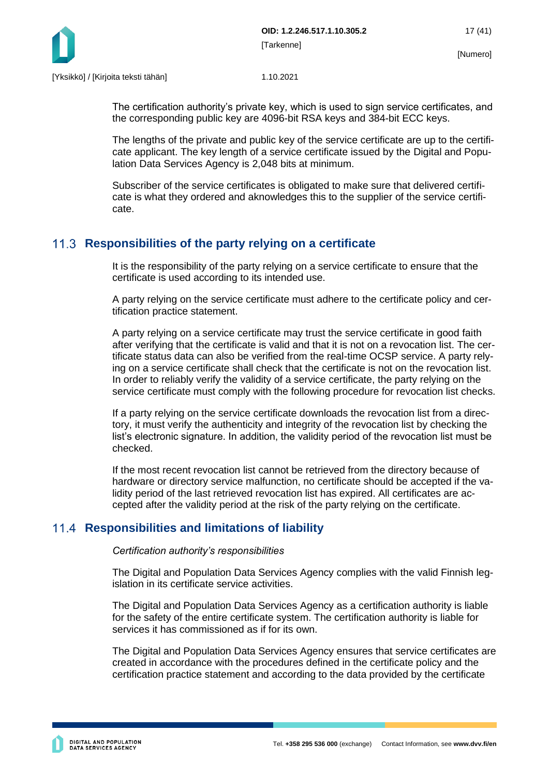

The certification authority's private key, which is used to sign service certificates, and the corresponding public key are 4096-bit RSA keys and 384-bit ECC keys.

The lengths of the private and public key of the service certificate are up to the certificate applicant. The key length of a service certificate issued by the Digital and Population Data Services Agency is 2,048 bits at minimum.

Subscriber of the service certificates is obligated to make sure that delivered certificate is what they ordered and aknowledges this to the supplier of the service certificate.

### <span id="page-17-0"></span>**Responsibilities of the party relying on a certificate**

It is the responsibility of the party relying on a service certificate to ensure that the certificate is used according to its intended use.

A party relying on the service certificate must adhere to the certificate policy and certification practice statement.

A party relying on a service certificate may trust the service certificate in good faith after verifying that the certificate is valid and that it is not on a revocation list. The certificate status data can also be verified from the real-time OCSP service. A party relying on a service certificate shall check that the certificate is not on the revocation list. In order to reliably verify the validity of a service certificate, the party relying on the service certificate must comply with the following procedure for revocation list checks.

If a party relying on the service certificate downloads the revocation list from a directory, it must verify the authenticity and integrity of the revocation list by checking the list's electronic signature. In addition, the validity period of the revocation list must be checked.

If the most recent revocation list cannot be retrieved from the directory because of hardware or directory service malfunction, no certificate should be accepted if the validity period of the last retrieved revocation list has expired. All certificates are accepted after the validity period at the risk of the party relying on the certificate.

### <span id="page-17-1"></span>**11.4 Responsibilities and limitations of liability**

*Certification authority's responsibilities*

The Digital and Population Data Services Agency complies with the valid Finnish legislation in its certificate service activities.

The Digital and Population Data Services Agency as a certification authority is liable for the safety of the entire certificate system. The certification authority is liable for services it has commissioned as if for its own.

The Digital and Population Data Services Agency ensures that service certificates are created in accordance with the procedures defined in the certificate policy and the certification practice statement and according to the data provided by the certificate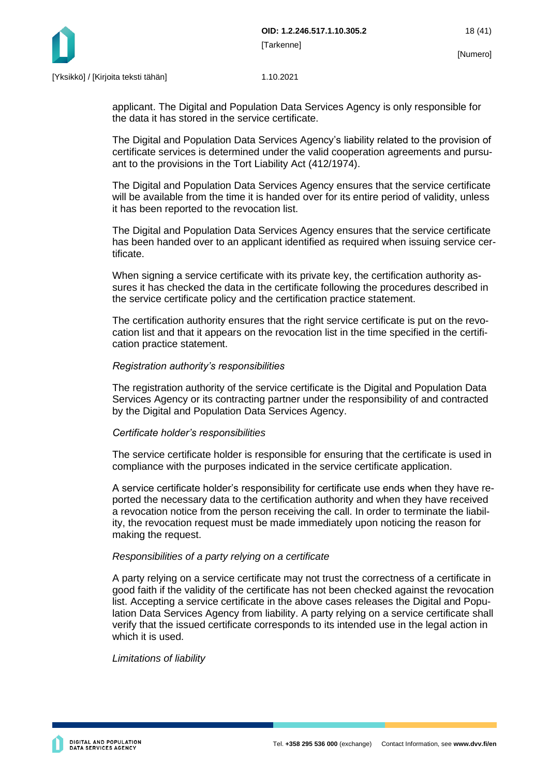

applicant. The Digital and Population Data Services Agency is only responsible for the data it has stored in the service certificate.

The Digital and Population Data Services Agency's liability related to the provision of certificate services is determined under the valid cooperation agreements and pursuant to the provisions in the Tort Liability Act (412/1974).

The Digital and Population Data Services Agency ensures that the service certificate will be available from the time it is handed over for its entire period of validity, unless it has been reported to the revocation list.

The Digital and Population Data Services Agency ensures that the service certificate has been handed over to an applicant identified as required when issuing service certificate.

When signing a service certificate with its private key, the certification authority assures it has checked the data in the certificate following the procedures described in the service certificate policy and the certification practice statement.

The certification authority ensures that the right service certificate is put on the revocation list and that it appears on the revocation list in the time specified in the certification practice statement.

#### *Registration authority's responsibilities*

The registration authority of the service certificate is the Digital and Population Data Services Agency or its contracting partner under the responsibility of and contracted by the Digital and Population Data Services Agency.

#### *Certificate holder's responsibilities*

The service certificate holder is responsible for ensuring that the certificate is used in compliance with the purposes indicated in the service certificate application.

A service certificate holder's responsibility for certificate use ends when they have reported the necessary data to the certification authority and when they have received a revocation notice from the person receiving the call. In order to terminate the liability, the revocation request must be made immediately upon noticing the reason for making the request.

#### *Responsibilities of a party relying on a certificate*

A party relying on a service certificate may not trust the correctness of a certificate in good faith if the validity of the certificate has not been checked against the revocation list. Accepting a service certificate in the above cases releases the Digital and Population Data Services Agency from liability. A party relying on a service certificate shall verify that the issued certificate corresponds to its intended use in the legal action in which it is used.

#### *Limitations of liability*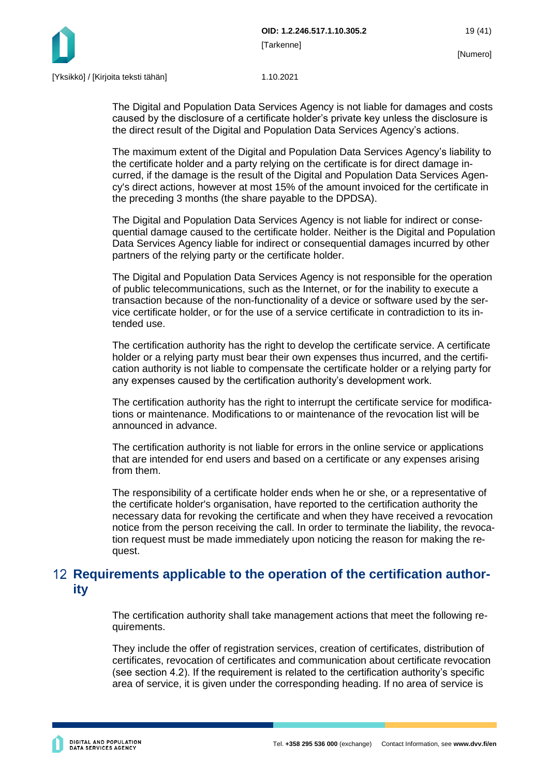

The Digital and Population Data Services Agency is not liable for damages and costs caused by the disclosure of a certificate holder's private key unless the disclosure is the direct result of the Digital and Population Data Services Agency's actions.

The maximum extent of the Digital and Population Data Services Agency's liability to the certificate holder and a party relying on the certificate is for direct damage incurred, if the damage is the result of the Digital and Population Data Services Agency's direct actions, however at most 15% of the amount invoiced for the certificate in the preceding 3 months (the share payable to the DPDSA).

The Digital and Population Data Services Agency is not liable for indirect or consequential damage caused to the certificate holder. Neither is the Digital and Population Data Services Agency liable for indirect or consequential damages incurred by other partners of the relying party or the certificate holder.

The Digital and Population Data Services Agency is not responsible for the operation of public telecommunications, such as the Internet, or for the inability to execute a transaction because of the non-functionality of a device or software used by the service certificate holder, or for the use of a service certificate in contradiction to its intended use.

The certification authority has the right to develop the certificate service. A certificate holder or a relying party must bear their own expenses thus incurred, and the certification authority is not liable to compensate the certificate holder or a relying party for any expenses caused by the certification authority's development work.

The certification authority has the right to interrupt the certificate service for modifications or maintenance. Modifications to or maintenance of the revocation list will be announced in advance.

The certification authority is not liable for errors in the online service or applications that are intended for end users and based on a certificate or any expenses arising from them.

The responsibility of a certificate holder ends when he or she, or a representative of the certificate holder's organisation, have reported to the certification authority the necessary data for revoking the certificate and when they have received a revocation notice from the person receiving the call. In order to terminate the liability, the revocation request must be made immediately upon noticing the reason for making the request.

## <span id="page-19-0"></span>**Requirements applicable to the operation of the certification authority**

The certification authority shall take management actions that meet the following requirements.

They include the offer of registration services, creation of certificates, distribution of certificates, revocation of certificates and communication about certificate revocation (see section 4.2). If the requirement is related to the certification authority's specific area of service, it is given under the corresponding heading. If no area of service is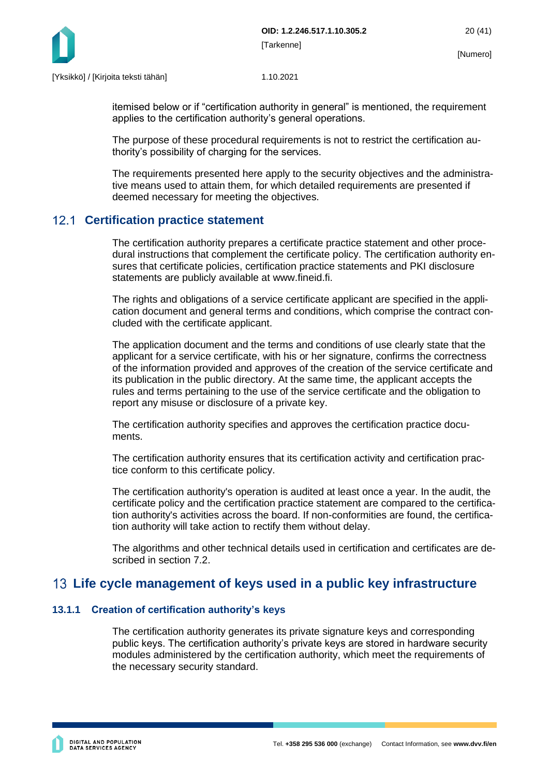

itemised below or if "certification authority in general" is mentioned, the requirement applies to the certification authority's general operations.

The purpose of these procedural requirements is not to restrict the certification authority's possibility of charging for the services.

The requirements presented here apply to the security objectives and the administrative means used to attain them, for which detailed requirements are presented if deemed necessary for meeting the objectives.

### <span id="page-20-0"></span>**Certification practice statement**

The certification authority prepares a certificate practice statement and other procedural instructions that complement the certificate policy. The certification authority ensures that certificate policies, certification practice statements and PKI disclosure statements are publicly available at www.fineid.fi.

The rights and obligations of a service certificate applicant are specified in the application document and general terms and conditions, which comprise the contract concluded with the certificate applicant.

The application document and the terms and conditions of use clearly state that the applicant for a service certificate, with his or her signature, confirms the correctness of the information provided and approves of the creation of the service certificate and its publication in the public directory. At the same time, the applicant accepts the rules and terms pertaining to the use of the service certificate and the obligation to report any misuse or disclosure of a private key.

The certification authority specifies and approves the certification practice documents.

The certification authority ensures that its certification activity and certification practice conform to this certificate policy.

The certification authority's operation is audited at least once a year. In the audit, the certificate policy and the certification practice statement are compared to the certification authority's activities across the board. If non-conformities are found, the certification authority will take action to rectify them without delay.

The algorithms and other technical details used in certification and certificates are described in section 7.2.

## <span id="page-20-1"></span>**Life cycle management of keys used in a public key infrastructure**

#### <span id="page-20-2"></span>**13.1.1 Creation of certification authority's keys**

The certification authority generates its private signature keys and corresponding public keys. The certification authority's private keys are stored in hardware security modules administered by the certification authority, which meet the requirements of the necessary security standard.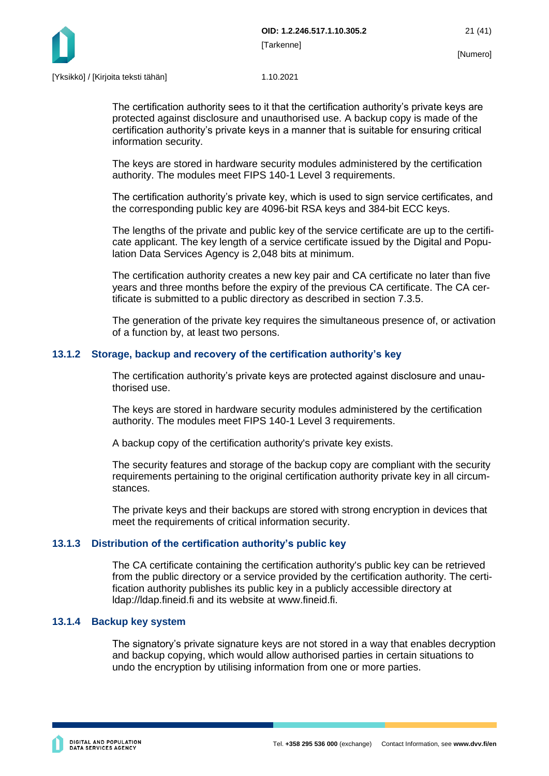

The certification authority sees to it that the certification authority's private keys are protected against disclosure and unauthorised use. A backup copy is made of the certification authority's private keys in a manner that is suitable for ensuring critical information security.

The keys are stored in hardware security modules administered by the certification authority. The modules meet FIPS 140-1 Level 3 requirements.

The certification authority's private key, which is used to sign service certificates, and the corresponding public key are 4096-bit RSA keys and 384-bit ECC keys.

The lengths of the private and public key of the service certificate are up to the certificate applicant. The key length of a service certificate issued by the Digital and Population Data Services Agency is 2,048 bits at minimum.

The certification authority creates a new key pair and CA certificate no later than five years and three months before the expiry of the previous CA certificate. The CA certificate is submitted to a public directory as described in section 7.3.5.

The generation of the private key requires the simultaneous presence of, or activation of a function by, at least two persons.

#### <span id="page-21-0"></span>**13.1.2 Storage, backup and recovery of the certification authority's key**

The certification authority's private keys are protected against disclosure and unauthorised use.

The keys are stored in hardware security modules administered by the certification authority. The modules meet FIPS 140-1 Level 3 requirements.

A backup copy of the certification authority's private key exists.

The security features and storage of the backup copy are compliant with the security requirements pertaining to the original certification authority private key in all circumstances.

The private keys and their backups are stored with strong encryption in devices that meet the requirements of critical information security.

#### <span id="page-21-1"></span>**13.1.3 Distribution of the certification authority's public key**

The CA certificate containing the certification authority's public key can be retrieved from the public directory or a service provided by the certification authority. The certification authority publishes its public key in a publicly accessible directory at ldap://ldap.fineid.fi and its website at www.fineid.fi.

#### <span id="page-21-2"></span>**13.1.4 Backup key system**

The signatory's private signature keys are not stored in a way that enables decryption and backup copying, which would allow authorised parties in certain situations to undo the encryption by utilising information from one or more parties.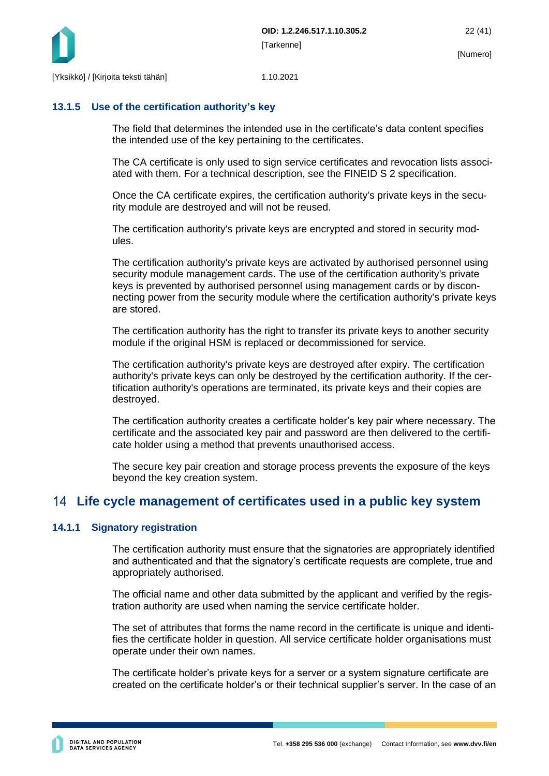

#### <span id="page-22-0"></span>**13.1.5 Use of the certification authority's key**

The field that determines the intended use in the certificate's data content specifies the intended use of the key pertaining to the certificates.

The CA certificate is only used to sign service certificates and revocation lists associated with them. For a technical description, see the FINEID S 2 specification.

Once the CA certificate expires, the certification authority's private keys in the security module are destroyed and will not be reused.

The certification authority's private keys are encrypted and stored in security modules.

The certification authority's private keys are activated by authorised personnel using security module management cards. The use of the certification authority's private keys is prevented by authorised personnel using management cards or by disconnecting power from the security module where the certification authority's private keys are stored.

The certification authority has the right to transfer its private keys to another security module if the original HSM is replaced or decommissioned for service.

The certification authority's private keys are destroyed after expiry. The certification authority's private keys can only be destroyed by the certification authority. If the certification authority's operations are terminated, its private keys and their copies are destroyed.

The certification authority creates a certificate holder's key pair where necessary. The certificate and the associated key pair and password are then delivered to the certificate holder using a method that prevents unauthorised access.

The secure key pair creation and storage process prevents the exposure of the keys beyond the key creation system.

### <span id="page-22-1"></span>**Life cycle management of certificates used in a public key system**

#### <span id="page-22-2"></span>**14.1.1 Signatory registration**

The certification authority must ensure that the signatories are appropriately identified and authenticated and that the signatory's certificate requests are complete, true and appropriately authorised.

The official name and other data submitted by the applicant and verified by the registration authority are used when naming the service certificate holder.

The set of attributes that forms the name record in the certificate is unique and identifies the certificate holder in question. All service certificate holder organisations must operate under their own names.

The certificate holder's private keys for a server or a system signature certificate are created on the certificate holder's or their technical supplier's server. In the case of an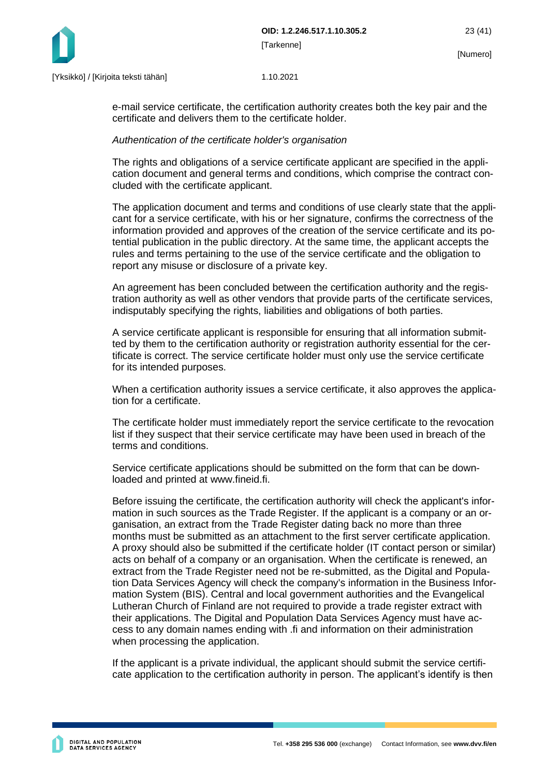

e-mail service certificate, the certification authority creates both the key pair and the certificate and delivers them to the certificate holder.

#### *Authentication of the certificate holder's organisation*

The rights and obligations of a service certificate applicant are specified in the application document and general terms and conditions, which comprise the contract concluded with the certificate applicant.

The application document and terms and conditions of use clearly state that the applicant for a service certificate, with his or her signature, confirms the correctness of the information provided and approves of the creation of the service certificate and its potential publication in the public directory. At the same time, the applicant accepts the rules and terms pertaining to the use of the service certificate and the obligation to report any misuse or disclosure of a private key.

An agreement has been concluded between the certification authority and the registration authority as well as other vendors that provide parts of the certificate services, indisputably specifying the rights, liabilities and obligations of both parties.

A service certificate applicant is responsible for ensuring that all information submitted by them to the certification authority or registration authority essential for the certificate is correct. The service certificate holder must only use the service certificate for its intended purposes.

When a certification authority issues a service certificate, it also approves the application for a certificate.

The certificate holder must immediately report the service certificate to the revocation list if they suspect that their service certificate may have been used in breach of the terms and conditions.

Service certificate applications should be submitted on the form that can be downloaded and printed at www.fineid.fi.

Before issuing the certificate, the certification authority will check the applicant's information in such sources as the Trade Register. If the applicant is a company or an organisation, an extract from the Trade Register dating back no more than three months must be submitted as an attachment to the first server certificate application. A proxy should also be submitted if the certificate holder (IT contact person or similar) acts on behalf of a company or an organisation. When the certificate is renewed, an extract from the Trade Register need not be re-submitted, as the Digital and Population Data Services Agency will check the company's information in the Business Information System (BIS). Central and local government authorities and the Evangelical Lutheran Church of Finland are not required to provide a trade register extract with their applications. The Digital and Population Data Services Agency must have access to any domain names ending with .fi and information on their administration when processing the application.

If the applicant is a private individual, the applicant should submit the service certificate application to the certification authority in person. The applicant's identify is then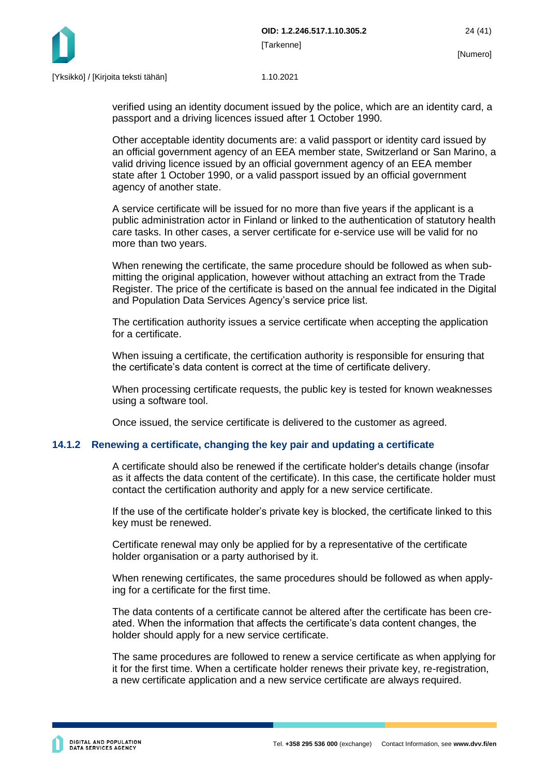

verified using an identity document issued by the police, which are an identity card, a passport and a driving licences issued after 1 October 1990.

Other acceptable identity documents are: a valid passport or identity card issued by an official government agency of an EEA member state, Switzerland or San Marino, a valid driving licence issued by an official government agency of an EEA member state after 1 October 1990, or a valid passport issued by an official government agency of another state.

A service certificate will be issued for no more than five years if the applicant is a public administration actor in Finland or linked to the authentication of statutory health care tasks. In other cases, a server certificate for e-service use will be valid for no more than two years.

When renewing the certificate, the same procedure should be followed as when submitting the original application, however without attaching an extract from the Trade Register. The price of the certificate is based on the annual fee indicated in the Digital and Population Data Services Agency's service price list.

The certification authority issues a service certificate when accepting the application for a certificate.

When issuing a certificate, the certification authority is responsible for ensuring that the certificate's data content is correct at the time of certificate delivery.

When processing certificate requests, the public key is tested for known weaknesses using a software tool.

Once issued, the service certificate is delivered to the customer as agreed.

#### <span id="page-24-0"></span>**14.1.2 Renewing a certificate, changing the key pair and updating a certificate**

A certificate should also be renewed if the certificate holder's details change (insofar as it affects the data content of the certificate). In this case, the certificate holder must contact the certification authority and apply for a new service certificate.

If the use of the certificate holder's private key is blocked, the certificate linked to this key must be renewed.

Certificate renewal may only be applied for by a representative of the certificate holder organisation or a party authorised by it.

When renewing certificates, the same procedures should be followed as when applying for a certificate for the first time.

The data contents of a certificate cannot be altered after the certificate has been created. When the information that affects the certificate's data content changes, the holder should apply for a new service certificate.

The same procedures are followed to renew a service certificate as when applying for it for the first time. When a certificate holder renews their private key, re-registration, a new certificate application and a new service certificate are always required.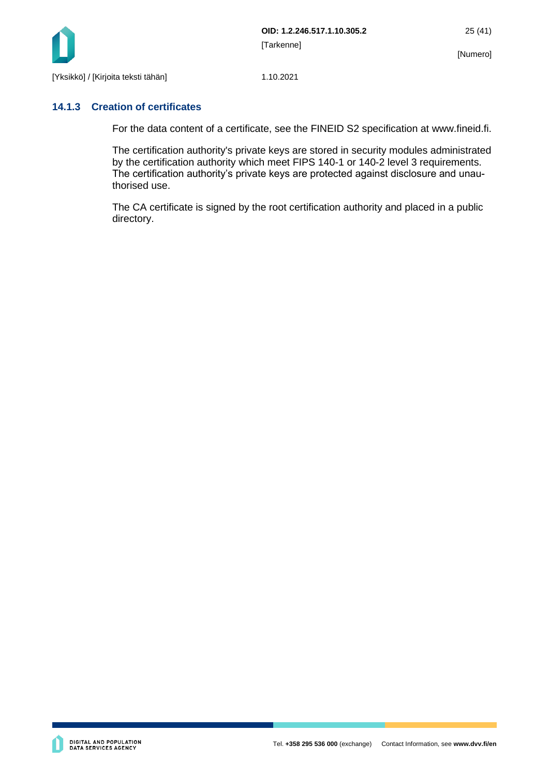

#### <span id="page-25-0"></span>**14.1.3 Creation of certificates**

For the data content of a certificate, see the FINEID S2 specification at www.fineid.fi.

The certification authority's private keys are stored in security modules administrated by the certification authority which meet FIPS 140-1 or 140-2 level 3 requirements. The certification authority's private keys are protected against disclosure and unauthorised use.

The CA certificate is signed by the root certification authority and placed in a public directory.

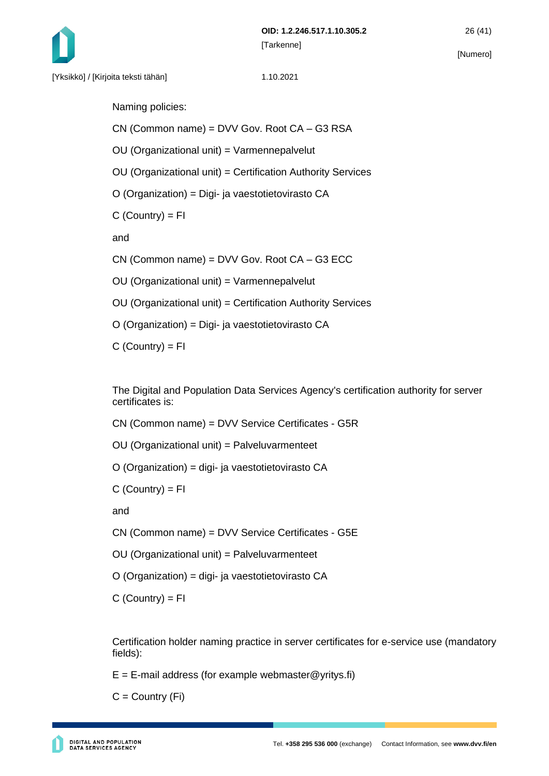

Naming policies:

CN (Common name) = DVV Gov. Root CA – G3 RSA

OU (Organizational unit) = Varmennepalvelut

OU (Organizational unit) = Certification Authority Services

O (Organization) = Digi- ja vaestotietovirasto CA

 $C$  (Country) =  $FI$ 

and

CN (Common name) = DVV Gov. Root CA – G3 ECC

OU (Organizational unit) = Varmennepalvelut

OU (Organizational unit) = Certification Authority Services

O (Organization) = Digi- ja vaestotietovirasto CA

 $C$  (Country) =  $FI$ 

The Digital and Population Data Services Agency's certification authority for server certificates is:

CN (Common name) = DVV Service Certificates - G5R

OU (Organizational unit) = Palveluvarmenteet

O (Organization) = digi- ja vaestotietovirasto CA

 $C$  (Country) =  $FI$ 

and

CN (Common name) = DVV Service Certificates - G5E

OU (Organizational unit) = Palveluvarmenteet

O (Organization) = digi- ja vaestotietovirasto CA

 $C$  (Country) = FI

Certification holder naming practice in server certificates for e-service use (mandatory fields):

 $E = E$ -mail address (for example webmaster @yritys.fi)

 $C =$  Country  $(Fi)$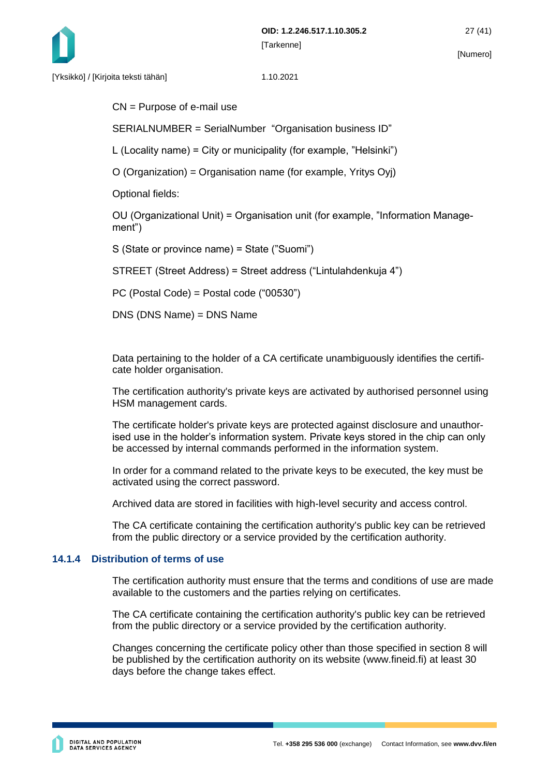

CN = Purpose of e-mail use

SERIALNUMBER = SerialNumber "Organisation business ID"

L (Locality name) = City or municipality (for example, "Helsinki")

O (Organization) = Organisation name (for example, Yritys Oyj)

Optional fields:

OU (Organizational Unit) = Organisation unit (for example, "Information Management")

S (State or province name) = State ("Suomi")

STREET (Street Address) = Street address ("Lintulahdenkuja 4")

PC (Postal Code) = Postal code ("00530")

DNS (DNS Name) = DNS Name

Data pertaining to the holder of a CA certificate unambiguously identifies the certificate holder organisation.

The certification authority's private keys are activated by authorised personnel using HSM management cards.

The certificate holder's private keys are protected against disclosure and unauthorised use in the holder's information system. Private keys stored in the chip can only be accessed by internal commands performed in the information system.

In order for a command related to the private keys to be executed, the key must be activated using the correct password.

Archived data are stored in facilities with high-level security and access control.

The CA certificate containing the certification authority's public key can be retrieved from the public directory or a service provided by the certification authority.

#### <span id="page-27-0"></span>**14.1.4 Distribution of terms of use**

The certification authority must ensure that the terms and conditions of use are made available to the customers and the parties relying on certificates.

The CA certificate containing the certification authority's public key can be retrieved from the public directory or a service provided by the certification authority.

Changes concerning the certificate policy other than those specified in section 8 will be published by the certification authority on its website (www.fineid.fi) at least 30 days before the change takes effect.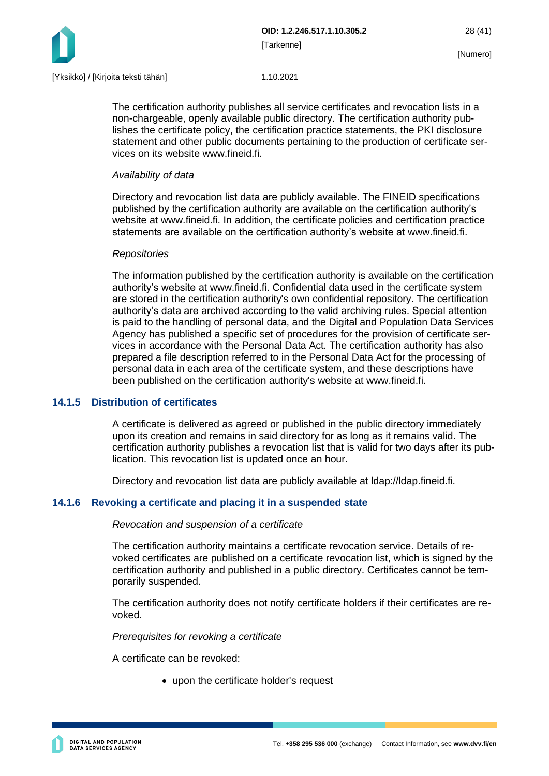

The certification authority publishes all service certificates and revocation lists in a non-chargeable, openly available public directory. The certification authority publishes the certificate policy, the certification practice statements, the PKI disclosure statement and other public documents pertaining to the production of certificate services on its website www.fineid.fi.

#### *Availability of data*

Directory and revocation list data are publicly available. The FINEID specifications published by the certification authority are available on the certification authority's website at www.fineid.fi. In addition, the certificate policies and certification practice statements are available on the certification authority's website at www.fineid.fi.

#### *Repositories*

The information published by the certification authority is available on the certification authority's website at www.fineid.fi. Confidential data used in the certificate system are stored in the certification authority's own confidential repository. The certification authority's data are archived according to the valid archiving rules. Special attention is paid to the handling of personal data, and the Digital and Population Data Services Agency has published a specific set of procedures for the provision of certificate services in accordance with the Personal Data Act. The certification authority has also prepared a file description referred to in the Personal Data Act for the processing of personal data in each area of the certificate system, and these descriptions have been published on the certification authority's website at www.fineid.fi.

#### <span id="page-28-0"></span>**14.1.5 Distribution of certificates**

A certificate is delivered as agreed or published in the public directory immediately upon its creation and remains in said directory for as long as it remains valid. The certification authority publishes a revocation list that is valid for two days after its publication. This revocation list is updated once an hour.

Directory and revocation list data are publicly available at ldap://ldap.fineid.fi.

#### <span id="page-28-1"></span>**14.1.6 Revoking a certificate and placing it in a suspended state**

#### *Revocation and suspension of a certificate*

The certification authority maintains a certificate revocation service. Details of revoked certificates are published on a certificate revocation list, which is signed by the certification authority and published in a public directory. Certificates cannot be temporarily suspended.

The certification authority does not notify certificate holders if their certificates are revoked.

*Prerequisites for revoking a certificate*

A certificate can be revoked:

• upon the certificate holder's request

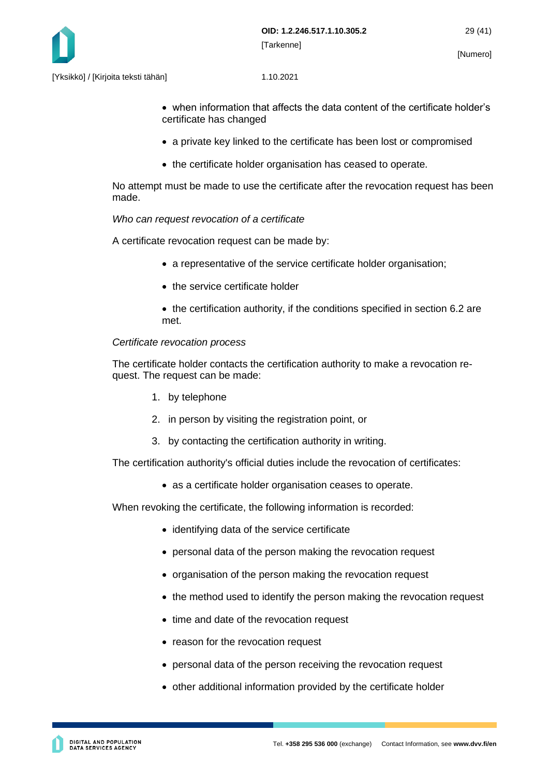

- when information that affects the data content of the certificate holder's certificate has changed
- a private key linked to the certificate has been lost or compromised
- the certificate holder organisation has ceased to operate.

No attempt must be made to use the certificate after the revocation request has been made.

#### *Who can request revocation of a certificate*

A certificate revocation request can be made by:

- a representative of the service certificate holder organisation;
- the service certificate holder
- the certification authority, if the conditions specified in section 6.2 are met.

#### *Certificate revocation process*

The certificate holder contacts the certification authority to make a revocation request. The request can be made:

- 1. by telephone
- 2. in person by visiting the registration point, or
- 3. by contacting the certification authority in writing.

The certification authority's official duties include the revocation of certificates:

• as a certificate holder organisation ceases to operate.

When revoking the certificate, the following information is recorded:

- identifying data of the service certificate
- personal data of the person making the revocation request
- organisation of the person making the revocation request
- the method used to identify the person making the revocation request
- time and date of the revocation request
- reason for the revocation request
- personal data of the person receiving the revocation request
- other additional information provided by the certificate holder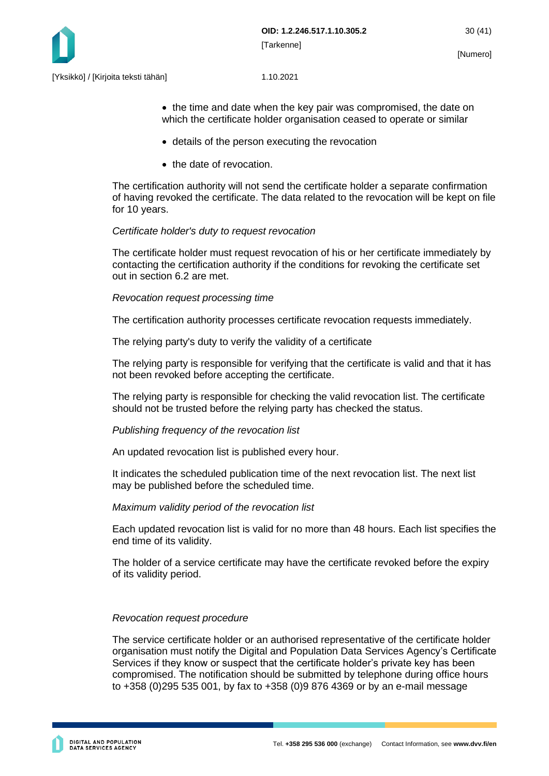

• the time and date when the key pair was compromised, the date on which the certificate holder organisation ceased to operate or similar

- details of the person executing the revocation
- the date of revocation.

The certification authority will not send the certificate holder a separate confirmation of having revoked the certificate. The data related to the revocation will be kept on file for 10 years.

#### *Certificate holder's duty to request revocation*

The certificate holder must request revocation of his or her certificate immediately by contacting the certification authority if the conditions for revoking the certificate set out in section 6.2 are met.

#### *Revocation request processing time*

The certification authority processes certificate revocation requests immediately.

The relying party's duty to verify the validity of a certificate

The relying party is responsible for verifying that the certificate is valid and that it has not been revoked before accepting the certificate.

The relying party is responsible for checking the valid revocation list. The certificate should not be trusted before the relying party has checked the status.

#### *Publishing frequency of the revocation list*

An updated revocation list is published every hour.

It indicates the scheduled publication time of the next revocation list. The next list may be published before the scheduled time.

#### *Maximum validity period of the revocation list*

Each updated revocation list is valid for no more than 48 hours. Each list specifies the end time of its validity.

The holder of a service certificate may have the certificate revoked before the expiry of its validity period.

#### *Revocation request procedure*

The service certificate holder or an authorised representative of the certificate holder organisation must notify the Digital and Population Data Services Agency's Certificate Services if they know or suspect that the certificate holder's private key has been compromised. The notification should be submitted by telephone during office hours to +358 (0)295 535 001, by fax to +358 (0)9 876 4369 or by an e-mail message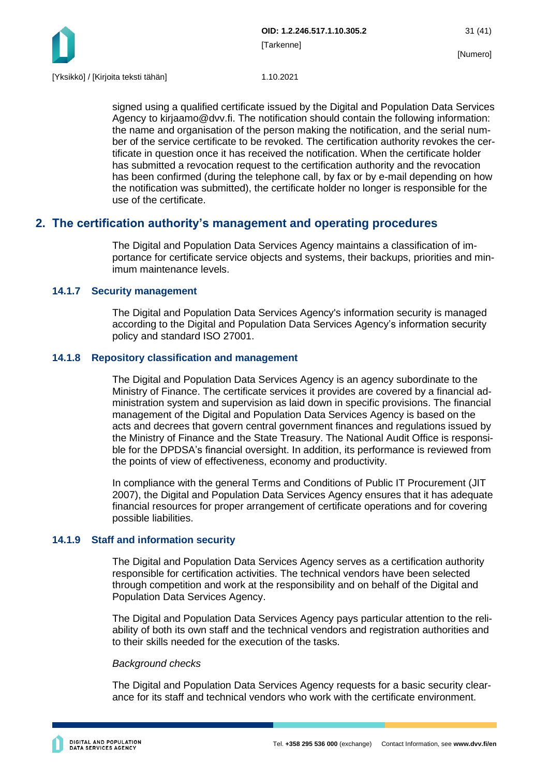

signed using a qualified certificate issued by the Digital and Population Data Services Agency to kirjaamo@dvv.fi. The notification should contain the following information: the name and organisation of the person making the notification, and the serial number of the service certificate to be revoked. The certification authority revokes the certificate in question once it has received the notification. When the certificate holder has submitted a revocation request to the certification authority and the revocation has been confirmed (during the telephone call, by fax or by e-mail depending on how the notification was submitted), the certificate holder no longer is responsible for the use of the certificate.

### <span id="page-31-0"></span>**2. The certification authority's management and operating procedures**

The Digital and Population Data Services Agency maintains a classification of importance for certificate service objects and systems, their backups, priorities and minimum maintenance levels.

#### <span id="page-31-1"></span>**14.1.7 Security management**

The Digital and Population Data Services Agency's information security is managed according to the Digital and Population Data Services Agency's information security policy and standard ISO 27001.

#### <span id="page-31-2"></span>**14.1.8 Repository classification and management**

The Digital and Population Data Services Agency is an agency subordinate to the Ministry of Finance. The certificate services it provides are covered by a financial administration system and supervision as laid down in specific provisions. The financial management of the Digital and Population Data Services Agency is based on the acts and decrees that govern central government finances and regulations issued by the Ministry of Finance and the State Treasury. The National Audit Office is responsible for the DPDSA's financial oversight. In addition, its performance is reviewed from the points of view of effectiveness, economy and productivity.

In compliance with the general Terms and Conditions of Public IT Procurement (JIT 2007), the Digital and Population Data Services Agency ensures that it has adequate financial resources for proper arrangement of certificate operations and for covering possible liabilities.

#### <span id="page-31-3"></span>**14.1.9 Staff and information security**

The Digital and Population Data Services Agency serves as a certification authority responsible for certification activities. The technical vendors have been selected through competition and work at the responsibility and on behalf of the Digital and Population Data Services Agency.

The Digital and Population Data Services Agency pays particular attention to the reliability of both its own staff and the technical vendors and registration authorities and to their skills needed for the execution of the tasks.

#### *Background checks*

The Digital and Population Data Services Agency requests for a basic security clearance for its staff and technical vendors who work with the certificate environment.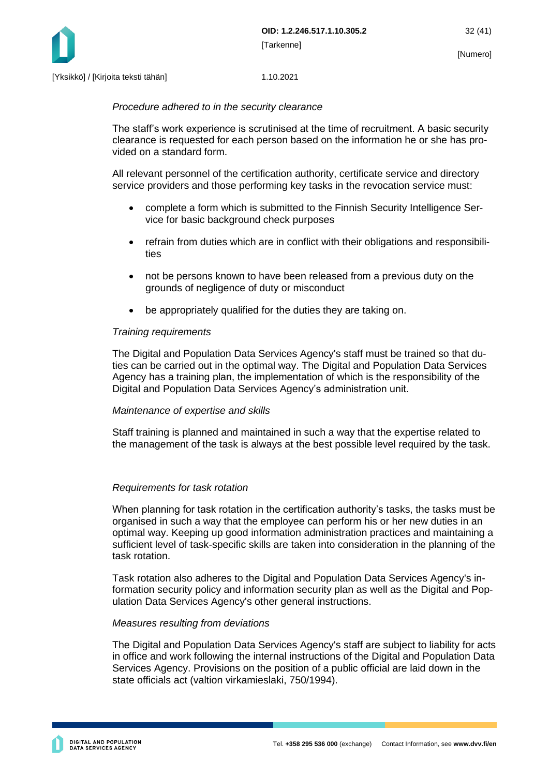

#### *Procedure adhered to in the security clearance*

The staff's work experience is scrutinised at the time of recruitment. A basic security clearance is requested for each person based on the information he or she has provided on a standard form.

All relevant personnel of the certification authority, certificate service and directory service providers and those performing key tasks in the revocation service must:

- complete a form which is submitted to the Finnish Security Intelligence Service for basic background check purposes
- refrain from duties which are in conflict with their obligations and responsibilities
- not be persons known to have been released from a previous duty on the grounds of negligence of duty or misconduct
- be appropriately qualified for the duties they are taking on.

#### *Training requirements*

The Digital and Population Data Services Agency's staff must be trained so that duties can be carried out in the optimal way. The Digital and Population Data Services Agency has a training plan, the implementation of which is the responsibility of the Digital and Population Data Services Agency's administration unit.

#### *Maintenance of expertise and skills*

Staff training is planned and maintained in such a way that the expertise related to the management of the task is always at the best possible level required by the task.

#### *Requirements for task rotation*

When planning for task rotation in the certification authority's tasks, the tasks must be organised in such a way that the employee can perform his or her new duties in an optimal way. Keeping up good information administration practices and maintaining a sufficient level of task-specific skills are taken into consideration in the planning of the task rotation.

Task rotation also adheres to the Digital and Population Data Services Agency's information security policy and information security plan as well as the Digital and Population Data Services Agency's other general instructions.

#### *Measures resulting from deviations*

The Digital and Population Data Services Agency's staff are subject to liability for acts in office and work following the internal instructions of the Digital and Population Data Services Agency. Provisions on the position of a public official are laid down in the state officials act (valtion virkamieslaki, 750/1994).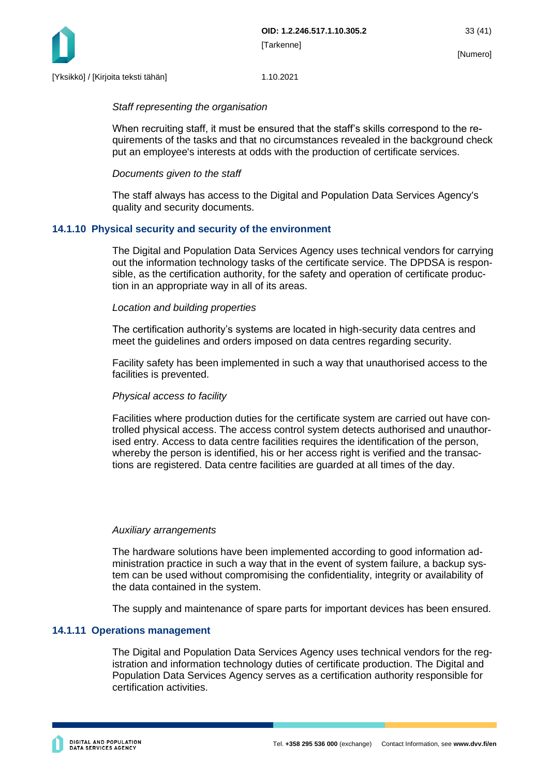

#### *Staff representing the organisation*

When recruiting staff, it must be ensured that the staff's skills correspond to the requirements of the tasks and that no circumstances revealed in the background check put an employee's interests at odds with the production of certificate services.

#### *Documents given to the staff*

The staff always has access to the Digital and Population Data Services Agency's quality and security documents.

#### <span id="page-33-0"></span>**14.1.10 Physical security and security of the environment**

The Digital and Population Data Services Agency uses technical vendors for carrying out the information technology tasks of the certificate service. The DPDSA is responsible, as the certification authority, for the safety and operation of certificate production in an appropriate way in all of its areas.

#### *Location and building properties*

The certification authority's systems are located in high-security data centres and meet the guidelines and orders imposed on data centres regarding security.

Facility safety has been implemented in such a way that unauthorised access to the facilities is prevented.

#### *Physical access to facility*

Facilities where production duties for the certificate system are carried out have controlled physical access. The access control system detects authorised and unauthorised entry. Access to data centre facilities requires the identification of the person, whereby the person is identified, his or her access right is verified and the transactions are registered. Data centre facilities are guarded at all times of the day.

#### *Auxiliary arrangements*

The hardware solutions have been implemented according to good information administration practice in such a way that in the event of system failure, a backup system can be used without compromising the confidentiality, integrity or availability of the data contained in the system.

The supply and maintenance of spare parts for important devices has been ensured.

#### <span id="page-33-1"></span>**14.1.11 Operations management**

The Digital and Population Data Services Agency uses technical vendors for the registration and information technology duties of certificate production. The Digital and Population Data Services Agency serves as a certification authority responsible for certification activities.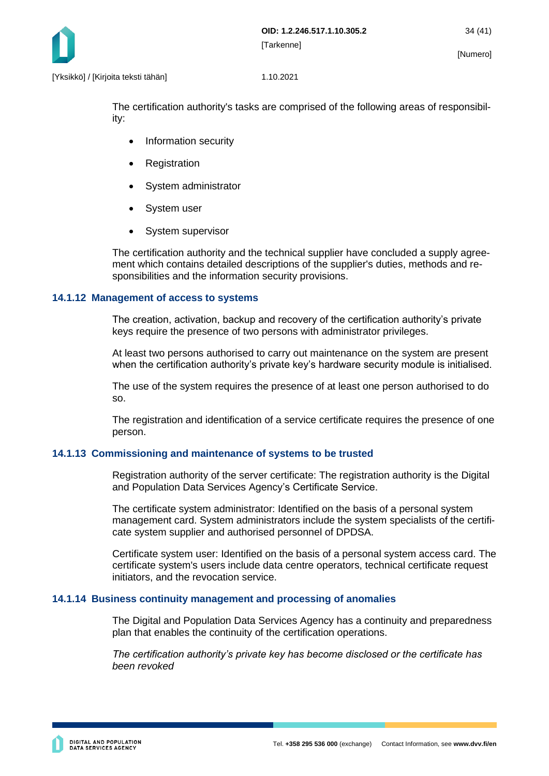

The certification authority's tasks are comprised of the following areas of responsibility:

- Information security
- **Registration**
- System administrator
- System user
- System supervisor

The certification authority and the technical supplier have concluded a supply agreement which contains detailed descriptions of the supplier's duties, methods and responsibilities and the information security provisions.

#### <span id="page-34-0"></span>**14.1.12 Management of access to systems**

The creation, activation, backup and recovery of the certification authority's private keys require the presence of two persons with administrator privileges.

At least two persons authorised to carry out maintenance on the system are present when the certification authority's private key's hardware security module is initialised.

The use of the system requires the presence of at least one person authorised to do so.

The registration and identification of a service certificate requires the presence of one person.

#### <span id="page-34-1"></span>**14.1.13 Commissioning and maintenance of systems to be trusted**

Registration authority of the server certificate: The registration authority is the Digital and Population Data Services Agency's Certificate Service.

The certificate system administrator: Identified on the basis of a personal system management card. System administrators include the system specialists of the certificate system supplier and authorised personnel of DPDSA.

Certificate system user: Identified on the basis of a personal system access card. The certificate system's users include data centre operators, technical certificate request initiators, and the revocation service.

#### <span id="page-34-2"></span>**14.1.14 Business continuity management and processing of anomalies**

The Digital and Population Data Services Agency has a continuity and preparedness plan that enables the continuity of the certification operations.

*The certification authority's private key has become disclosed or the certificate has been revoked*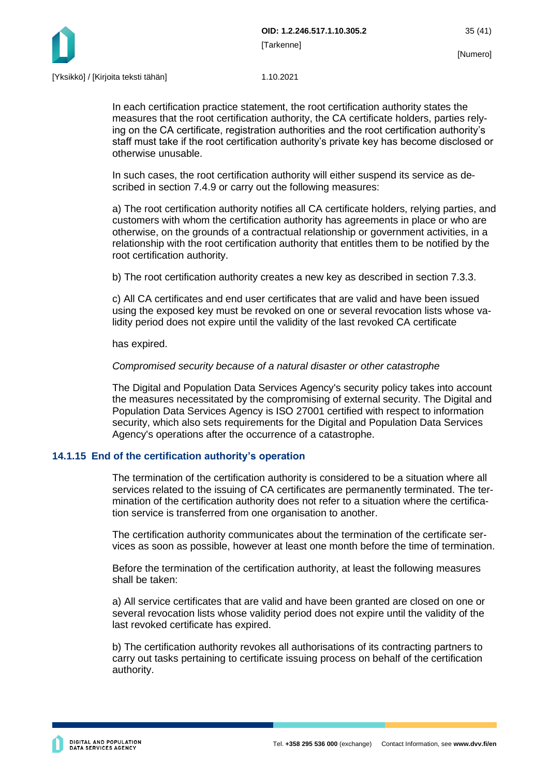

In each certification practice statement, the root certification authority states the measures that the root certification authority, the CA certificate holders, parties relying on the CA certificate, registration authorities and the root certification authority's staff must take if the root certification authority's private key has become disclosed or otherwise unusable.

In such cases, the root certification authority will either suspend its service as described in section 7.4.9 or carry out the following measures:

a) The root certification authority notifies all CA certificate holders, relying parties, and customers with whom the certification authority has agreements in place or who are otherwise, on the grounds of a contractual relationship or government activities, in a relationship with the root certification authority that entitles them to be notified by the root certification authority.

b) The root certification authority creates a new key as described in section 7.3.3.

c) All CA certificates and end user certificates that are valid and have been issued using the exposed key must be revoked on one or several revocation lists whose validity period does not expire until the validity of the last revoked CA certificate

has expired.

#### *Compromised security because of a natural disaster or other catastrophe*

The Digital and Population Data Services Agency's security policy takes into account the measures necessitated by the compromising of external security. The Digital and Population Data Services Agency is ISO 27001 certified with respect to information security, which also sets requirements for the Digital and Population Data Services Agency's operations after the occurrence of a catastrophe.

#### <span id="page-35-0"></span>**14.1.15 End of the certification authority's operation**

The termination of the certification authority is considered to be a situation where all services related to the issuing of CA certificates are permanently terminated. The termination of the certification authority does not refer to a situation where the certification service is transferred from one organisation to another.

The certification authority communicates about the termination of the certificate services as soon as possible, however at least one month before the time of termination.

Before the termination of the certification authority, at least the following measures shall be taken:

a) All service certificates that are valid and have been granted are closed on one or several revocation lists whose validity period does not expire until the validity of the last revoked certificate has expired.

b) The certification authority revokes all authorisations of its contracting partners to carry out tasks pertaining to certificate issuing process on behalf of the certification authority.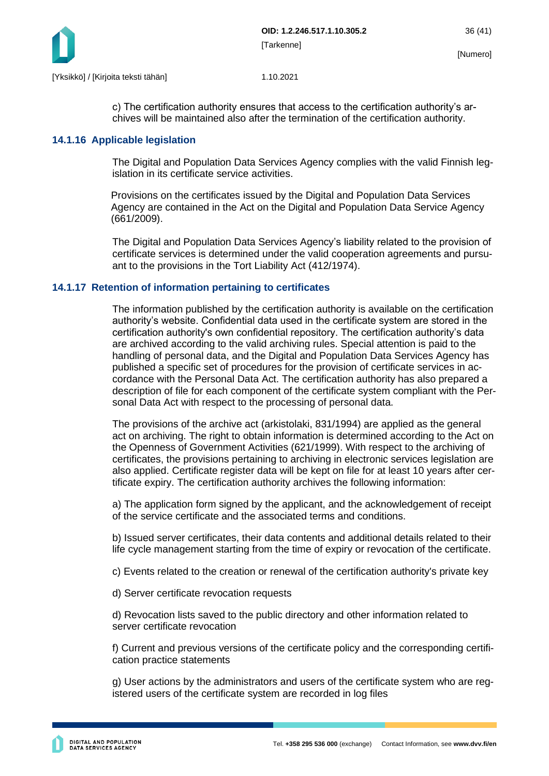

c) The certification authority ensures that access to the certification authority's archives will be maintained also after the termination of the certification authority.

#### <span id="page-36-0"></span>**14.1.16 Applicable legislation**

The Digital and Population Data Services Agency complies with the valid Finnish legislation in its certificate service activities.

Provisions on the certificates issued by the Digital and Population Data Services Agency are contained in the Act on the Digital and Population Data Service Agency (661/2009).

The Digital and Population Data Services Agency's liability related to the provision of certificate services is determined under the valid cooperation agreements and pursuant to the provisions in the Tort Liability Act (412/1974).

#### <span id="page-36-1"></span>**14.1.17 Retention of information pertaining to certificates**

The information published by the certification authority is available on the certification authority's website. Confidential data used in the certificate system are stored in the certification authority's own confidential repository. The certification authority's data are archived according to the valid archiving rules. Special attention is paid to the handling of personal data, and the Digital and Population Data Services Agency has published a specific set of procedures for the provision of certificate services in accordance with the Personal Data Act. The certification authority has also prepared a description of file for each component of the certificate system compliant with the Personal Data Act with respect to the processing of personal data.

The provisions of the archive act (arkistolaki, 831/1994) are applied as the general act on archiving. The right to obtain information is determined according to the Act on the Openness of Government Activities (621/1999). With respect to the archiving of certificates, the provisions pertaining to archiving in electronic services legislation are also applied. Certificate register data will be kept on file for at least 10 years after certificate expiry. The certification authority archives the following information:

a) The application form signed by the applicant, and the acknowledgement of receipt of the service certificate and the associated terms and conditions.

b) Issued server certificates, their data contents and additional details related to their life cycle management starting from the time of expiry or revocation of the certificate.

c) Events related to the creation or renewal of the certification authority's private key

d) Server certificate revocation requests

d) Revocation lists saved to the public directory and other information related to server certificate revocation

f) Current and previous versions of the certificate policy and the corresponding certification practice statements

g) User actions by the administrators and users of the certificate system who are registered users of the certificate system are recorded in log files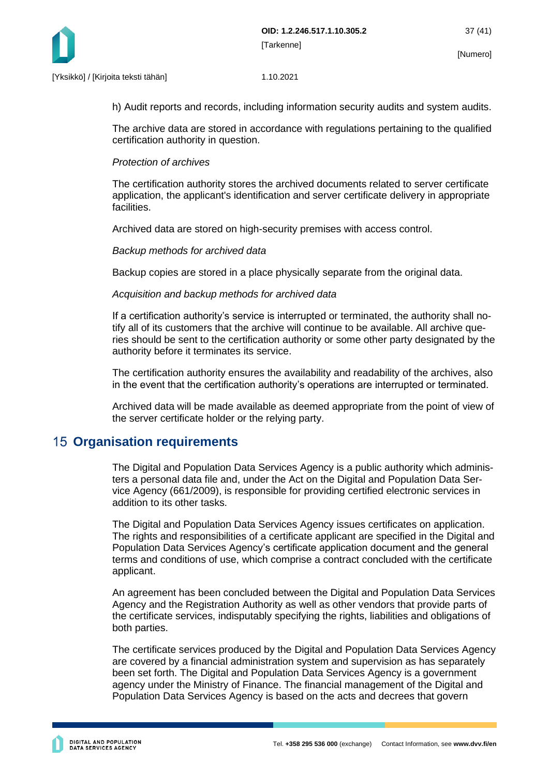

h) Audit reports and records, including information security audits and system audits.

The archive data are stored in accordance with regulations pertaining to the qualified certification authority in question.

#### *Protection of archives*

The certification authority stores the archived documents related to server certificate application, the applicant's identification and server certificate delivery in appropriate facilities.

Archived data are stored on high-security premises with access control.

#### *Backup methods for archived data*

Backup copies are stored in a place physically separate from the original data.

#### *Acquisition and backup methods for archived data*

If a certification authority's service is interrupted or terminated, the authority shall notify all of its customers that the archive will continue to be available. All archive queries should be sent to the certification authority or some other party designated by the authority before it terminates its service.

The certification authority ensures the availability and readability of the archives, also in the event that the certification authority's operations are interrupted or terminated.

Archived data will be made available as deemed appropriate from the point of view of the server certificate holder or the relying party.

### <span id="page-37-0"></span>**15 Organisation requirements**

The Digital and Population Data Services Agency is a public authority which administers a personal data file and, under the Act on the Digital and Population Data Service Agency (661/2009), is responsible for providing certified electronic services in addition to its other tasks.

The Digital and Population Data Services Agency issues certificates on application. The rights and responsibilities of a certificate applicant are specified in the Digital and Population Data Services Agency's certificate application document and the general terms and conditions of use, which comprise a contract concluded with the certificate applicant.

An agreement has been concluded between the Digital and Population Data Services Agency and the Registration Authority as well as other vendors that provide parts of the certificate services, indisputably specifying the rights, liabilities and obligations of both parties.

The certificate services produced by the Digital and Population Data Services Agency are covered by a financial administration system and supervision as has separately been set forth. The Digital and Population Data Services Agency is a government agency under the Ministry of Finance. The financial management of the Digital and Population Data Services Agency is based on the acts and decrees that govern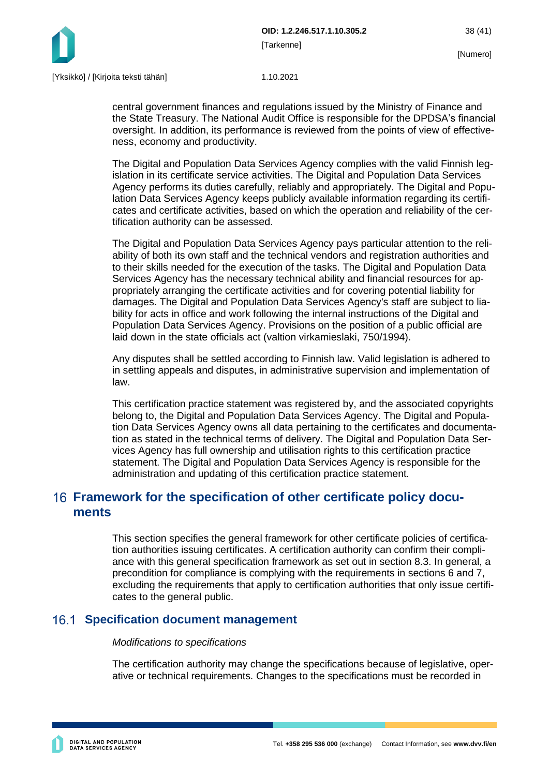

central government finances and regulations issued by the Ministry of Finance and the State Treasury. The National Audit Office is responsible for the DPDSA's financial oversight. In addition, its performance is reviewed from the points of view of effectiveness, economy and productivity.

The Digital and Population Data Services Agency complies with the valid Finnish legislation in its certificate service activities. The Digital and Population Data Services Agency performs its duties carefully, reliably and appropriately. The Digital and Population Data Services Agency keeps publicly available information regarding its certificates and certificate activities, based on which the operation and reliability of the certification authority can be assessed.

The Digital and Population Data Services Agency pays particular attention to the reliability of both its own staff and the technical vendors and registration authorities and to their skills needed for the execution of the tasks. The Digital and Population Data Services Agency has the necessary technical ability and financial resources for appropriately arranging the certificate activities and for covering potential liability for damages. The Digital and Population Data Services Agency's staff are subject to liability for acts in office and work following the internal instructions of the Digital and Population Data Services Agency. Provisions on the position of a public official are laid down in the state officials act (valtion virkamieslaki, 750/1994).

Any disputes shall be settled according to Finnish law. Valid legislation is adhered to in settling appeals and disputes, in administrative supervision and implementation of law.

This certification practice statement was registered by, and the associated copyrights belong to, the Digital and Population Data Services Agency. The Digital and Population Data Services Agency owns all data pertaining to the certificates and documentation as stated in the technical terms of delivery. The Digital and Population Data Services Agency has full ownership and utilisation rights to this certification practice statement. The Digital and Population Data Services Agency is responsible for the administration and updating of this certification practice statement.

## <span id="page-38-0"></span>**Framework for the specification of other certificate policy documents**

This section specifies the general framework for other certificate policies of certification authorities issuing certificates. A certification authority can confirm their compliance with this general specification framework as set out in section 8.3. In general, a precondition for compliance is complying with the requirements in sections 6 and 7, excluding the requirements that apply to certification authorities that only issue certificates to the general public.

### <span id="page-38-1"></span>**Specification document management**

#### *Modifications to specifications*

The certification authority may change the specifications because of legislative, operative or technical requirements. Changes to the specifications must be recorded in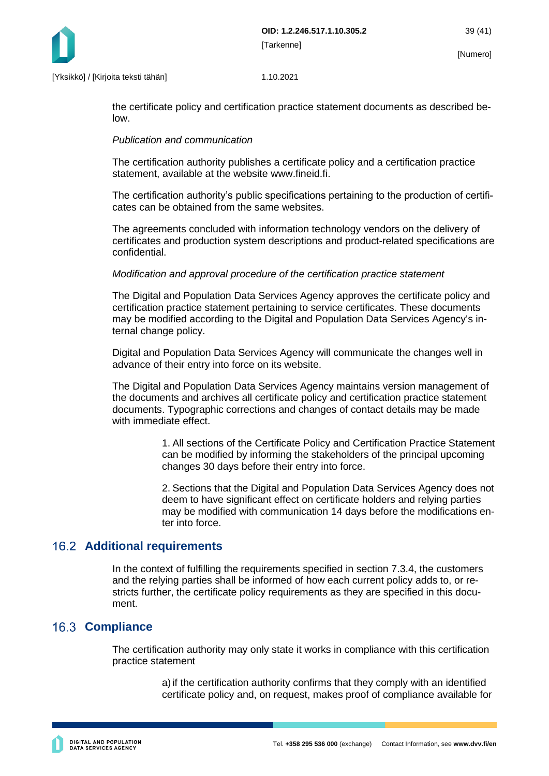

the certificate policy and certification practice statement documents as described below.

#### *Publication and communication*

The certification authority publishes a certificate policy and a certification practice statement, available at the website www.fineid.fi.

The certification authority's public specifications pertaining to the production of certificates can be obtained from the same websites.

The agreements concluded with information technology vendors on the delivery of certificates and production system descriptions and product-related specifications are confidential.

#### *Modification and approval procedure of the certification practice statement*

The Digital and Population Data Services Agency approves the certificate policy and certification practice statement pertaining to service certificates. These documents may be modified according to the Digital and Population Data Services Agency's internal change policy.

Digital and Population Data Services Agency will communicate the changes well in advance of their entry into force on its website.

The Digital and Population Data Services Agency maintains version management of the documents and archives all certificate policy and certification practice statement documents. Typographic corrections and changes of contact details may be made with immediate effect.

> 1. All sections of the Certificate Policy and Certification Practice Statement can be modified by informing the stakeholders of the principal upcoming changes 30 days before their entry into force.

> 2. Sections that the Digital and Population Data Services Agency does not deem to have significant effect on certificate holders and relying parties may be modified with communication 14 days before the modifications enter into force.

### <span id="page-39-0"></span>**Additional requirements**

In the context of fulfilling the requirements specified in section 7.3.4, the customers and the relying parties shall be informed of how each current policy adds to, or restricts further, the certificate policy requirements as they are specified in this document.

### <span id="page-39-1"></span>**16.3 Compliance**

The certification authority may only state it works in compliance with this certification practice statement

> a)if the certification authority confirms that they comply with an identified certificate policy and, on request, makes proof of compliance available for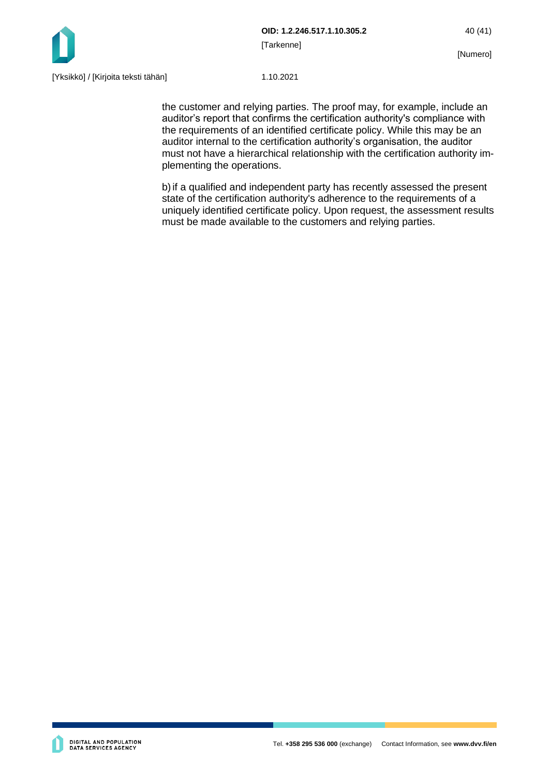

the customer and relying parties. The proof may, for example, include an auditor's report that confirms the certification authority's compliance with the requirements of an identified certificate policy. While this may be an auditor internal to the certification authority's organisation, the auditor must not have a hierarchical relationship with the certification authority implementing the operations.

b)if a qualified and independent party has recently assessed the present state of the certification authority's adherence to the requirements of a uniquely identified certificate policy. Upon request, the assessment results must be made available to the customers and relying parties.